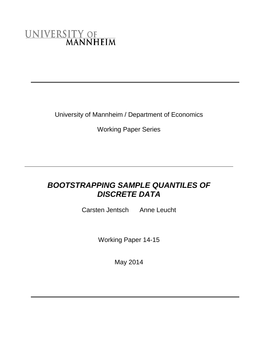# UNIVERSITY OF MANNHEIM

University of Mannheim / Department of Economics

Working Paper Series

# *BOOTSTRAPPING SAMPLE QUANTILES OF DISCRETE DATA*

Carsten Jentsch Anne Leucht

Working Paper 14-15

May 2014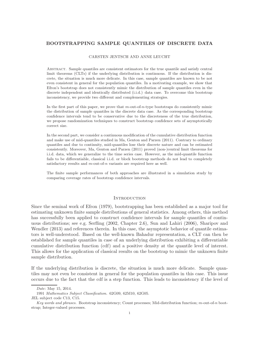# BOOTSTRAPPING SAMPLE QUANTILES OF DISCRETE DATA

#### CARSTEN JENTSCH AND ANNE LEUCHT

Abstract. Sample quantiles are consistent estimators for the true quantile and satisfy central limit theorems (CLTs) if the underlying distribution is continuous. If the distribution is discrete, the situation is much more delicate. In this case, sample quantiles are known to be not even consistent in general for the population quantiles. In a motivating example, we show that Efron's bootstrap does not consistently mimic the distribution of sample quantiles even in the discrete independent and identically distributed (i.i.d.) data case. To overcome this bootstrap inconsistency, we provide two different and complementing strategies.

In the first part of this paper, we prove that  $m$ -out-of-n-type bootstraps do consistently mimic the distribution of sample quantiles in the discrete data case. As the corresponding bootstrap confidence intervals tend to be conservative due to the discreteness of the true distribution, we propose randomization techniques to construct bootstrap confidence sets of asymptotically correct size.

In the second part, we consider a continuous modification of the cumulative distribution function and make use of mid-quantiles studied in Ma, Genton and Parzen (2011). Contrary to ordinary quantiles and due to continuity, mid-quantiles lose their discrete nature and can be estimated consistently. Moreover, Ma, Genton and Parzen (2011) proved (non-)central limit theorems for i.i.d. data, which we generalize to the time series case. However, as the mid-quantile function fails to be differentiable, classical i.i.d. or block bootstrap methods do not lead to completely satisfactory results and m-out-of-n variants are required here as well.

The finite sample performances of both approaches are illustrated in a simulation study by comparing coverage rates of bootstrap confidence intervals.

# **INTRODUCTION**

Since the seminal work of Efron (1979), bootstrapping has been established as a major tool for estimating unknown finite sample distributions of general statistics. Among others, this method has successfully been applied to construct confidence intervals for sample quantiles of continuous distributions; see e.g. Serfling (2002, Chapter 2.6), Sun and Lahiri (2006), Sharipov and Wendler (2013) and references therein. In this case, the asymptotic behavior of quantile estimators is well-understood. Based on the well-known Bahadur representation, a CLT can then be established for sample quantiles in case of an underlying distribution exhibiting a differentiable cumulative distribution function (cdf) and a positive density at the quantile level of interest. This allows for the application of classical results on the bootstrap to mimic the unknown finite sample distribution.

If the underlying distribution is discrete, the situation is much more delicate. Sample quantiles may not even be consistent in general for the population quantiles in this case. This issue occurs due to the fact that the cdf is a step function. This leads to inconsistency if the level of

JEL subject code C13, C15.

Date: May 15, 2014.

<sup>1991</sup> Mathematics Subject Classification. 62G09, 62M10, 62G05.

Key words and phrases. Bootstrap inconsistency; Count processes; Mid-distribution function;  $m$ -out-of-n bootstrap; Integer-valued processes.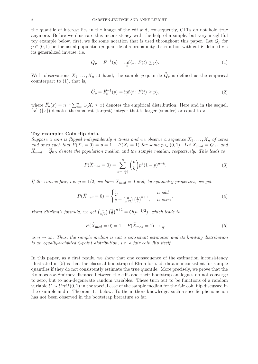the quantile of interest lies in the image of the cdf and, consequently, CLTs do not hold true anymore. Before we illustrate this inconsistency with the help of a simple, but very insightful toy example below, first, we fix some notation that is used throughout this paper. Let  $Q_p$  for  $p \in (0, 1)$  be the usual population p-quantile of a probability distribution with cdf F defined via its generalized inverse, i.e.

$$
Q_p = F^{-1}(p) = \inf_t \{ t : F(t) \ge p \}. \tag{1}
$$

With observations  $X_1, \ldots, X_n$  at hand, the sample p-quantile  $\hat{Q}_p$  is defined as the empirical counterpart to (1), that is,

$$
\widehat{Q}_p = \widehat{F}_n^{-1}(p) = \inf_t \{ t : \widehat{F}(t) \ge p \},\tag{2}
$$

where  $\widehat{F}_n(x) = n^{-1} \sum_{i=1}^n 1(X_i \leq x)$  denotes the empirical distribution. Here and in the sequel,  $\lceil x \rceil$  ( $\lfloor x \rfloor$ ) denotes the smallest (largest) integer that is larger (smaller) or equal to x.

### Toy example: Coin flip data.

*Suppose a coin is flipped independently n times and we observe a sequence*  $X_1, \ldots, X_n$  *of zeros and ones such that*  $P(X_i = 0) = p = 1 - P(X_i = 1)$  *for some*  $p \in (0, 1)$ *. Let*  $X_{med} = Q_{0.5}$  *and*  $\widehat{X}_{med} = \widehat{Q}_{0.5}$  *denote the population median and the sample median, respectively. This leads to* 

$$
P(\widehat{X}_{med} = 0) = \sum_{k=\lceil \frac{n}{2} \rceil}^{n} \binom{n}{k} p^k (1-p)^{n-k}.
$$
 (3)

*If the coin is fair, i.e.*  $p = 1/2$ *, we have*  $X_{med} = 0$  *and, by symmetry properties, we get* 

$$
P(\widehat{X}_{med} = 0) = \begin{cases} \frac{1}{2}, & n \text{ odd} \\ \frac{1}{2} + {n \choose n/2} \left(\frac{1}{2}\right)^{n+1}, & n \text{ even} \end{cases} (4)
$$

*From Stirling's formula, we get*  $\binom{n}{n}$  $\binom{n}{n/2} \left(\frac{1}{2}\right)^{n+1} = O(n^{-1/2}),$  which leads to

$$
P(\hat{X}_{med} = 0) = 1 - P(\hat{X}_{med} = 1) \to \frac{1}{2}
$$
 (5)

as  $n \to \infty$ . Thus, the sample median is not a consistent estimator and its limiting distribution *is an equally-weighted 2-point distribution, i.e. a fair coin flip itself.*

In this paper, as a first result, we show that one consequence of the estimation inconsistency illustrated in (5) is that the classical bootstrap of Efron for i.i.d. data is inconsistent for sample quantiles if they do not consistently estimate the true quantile. More precisely, we prove that the Kolmogorov-Smirnov distance between the cdfs and their bootstrap analogues do not converge to zero, but to non-degenerate random variables. These turn out to be functions of a random variable  $U \sim Unif(0, 1)$  in the special case of the sample median for the fair coin flip discussed in the example and in Theorem 1.1 below. To the authors knowledge, such a specific phenomenon has not been observed in the bootstrap literature so far.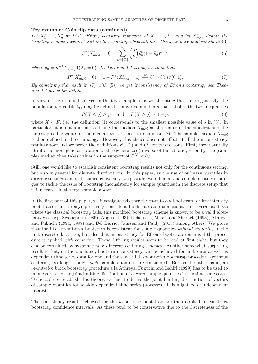# Toy example: Coin flip data (continued).

Let  $X_1^*, \ldots, X_n^*$  be *i.i.d.* (Efron) bootstrap replicates of  $X_1, \ldots, X_n$  and let  $X_{med}^*$  denote the bootstrap sample median based on the bootstrap observations. Then, we have analogously to (3)

$$
P^*(\widehat{X}_{med}^* = 0) = \sum_{k=\lceil \frac{n}{2} \rceil}^n {n \choose k} \widehat{p}_n^k (1 - \widehat{p}_n)^{n-k},\tag{6}
$$

where  $\widehat{p}_n = n^{-1} \sum_{t=1}^n 1(X_t = 0)$ *. In Theorem 1.1 below, we show that* 

$$
P^*(\widehat{X}_{med}^* = 0) = 1 - P^*(\widehat{X}_{med}^* = 1) \xrightarrow{\mathcal{D}} U \sim Unif(0,1). \tag{7}
$$

*By combining the result in* (7) *with* (5)*, we get inconsistency of Efron's bootstrap, see Theorem 1.1 below for details.*

In view of the results displayed in the toy example, it is worth noting that, more generally, the population p-quantile  $Q_p$  may be defined as any real number q that satisfies the two inequalities

$$
P(X \le q) \ge p \quad \text{and} \quad P(X \ge q) \ge 1 - p,\tag{8}
$$

where  $X \sim F$ , i.e. the definition (1) corresponds to the smallest possible value of q in (8). In particular, it is not unusual to define the median  $X_{med}$  as the center of the smallest and the largest possible values of the median with respect to definition (8). The sample median  $\hat{X}_{med}$ is then defined in direct analogy. However, this choice does not affect at all the inconsistency results above and we prefer the definitions via (1) and (2) for two reasons. First, they naturally fit into the more general notation of the (generalized) inverse of the cdf and, secondly, the (sample) median then takes values in the support of  $P^{X_1}$  only.

Still, one would like to establish consistent bootstrap results not only for the continuous setting, but also in general for discrete distributions. In this paper, as the use of ordinary quantiles in discrete settings can be discussed conversely, we provide two different and complementing strategies to tackle the issue of bootstrap inconsistency for sample quantiles in the discrete setup that is illustrated in the toy example above.

In the first part of this paper, we investigate whether the  $m$ -out-of-n bootstrap (or low intensity bootstrap) leads to asymptotically consistent bootstrap approximations. In several contexts where the classical bootstrap fails, this modified bootstrap scheme is known to be a valid alternative; see e.g. Swanepoel (1986), Angus (1993), Deheuvels, Mason and Shorack (1993), Athreya and Fukuchi (1994, 1997) and Del Barrio, Janssen and Pauly (2013) among others. We prove that the i.i.d. m-out-of-n bootstrap is consistent for sample quantiles *without centering* in the i.i.d. discrete data case, but also that inconsistency for Efron's bootstrap remains if the procedure is applied *with centering*. These differing results seem to be odd at first sight, but they can be explained by systematically different centering schemes. Another somewhat surprising result is that, on the one hand, bootstrap consistency can be achieved for i.i.d. data as well as dependent time series data for one and the same i.i.d.  $m$ -out-of-n bootstrap procedure (without centering) as long as only *single* sample quantiles are considered. But on the other hand, an  $m$ -out-of-n block bootstrap procedure à la Athreya, Fukuchi and Lahiri (1999) has to be used to mimic correctly the joint limiting distribution of *several* sample quantiles in the time series case. To be able to establish this theory, we had to derive the joint limiting distribution of vectors of sample quantiles for weakly dependent time series processes. This might be of independent interest.

The consistency results achieved for the m-out-of-n bootstrap are then applied to construct bootstrap confidence intervals. As these tend to be conservative due to the discreteness of the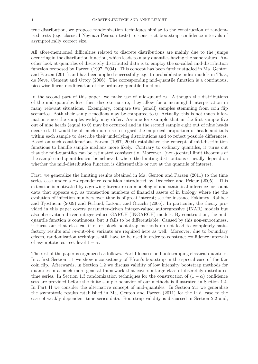true distribution, we propose randomization techniques similar to the construction of randomized tests (e.g. classical Neyman-Pearson tests) to construct bootstrap confidence intervals of asymptotically correct size.

All afore-mentioned difficulties related to discrete distributions are mainly due to the jumps occurring in the distribution function, which leads to many quantiles having the same values. Another look at quantiles of discretely distributed data is to employ the so-called mid-distribution function proposed by Parzen (1997, 2004). This concept has been further studied in Ma, Genton and Parzen (2011) and has been applied successfully e.g. to probabilistic index models in Thas, de Neve, Clement and Ottoy (2006). The corresponding mid-quantile function is a continuous, piecewise linear modification of the ordinary quantile function.

In the second part of this paper, we make use of mid-quantiles. Although the distributions of the mid-quantiles lose their discrete nature, they allow for a meaningful interpretation in many relevant situations. Exemplary, compare two (small) samples stemming from coin flip scenarios. Both their sample medians may be computed to 0. Actually, this is not much information since the samples widely may differ. Assume for example that in the first sample five out of nine heads (equal to 0) may be occurred and in the second sample eight out of nine heads occurred. It would be of much more use to regard the empirical proportion of heads and tails within each sample to describe their underlying distributions and to reflect possible differences. Based on such considerations Parzen (1997, 2004) established the concept of mid-distribution functions to handle sample medians more likely. Contrary to ordinary quantiles, it turns out that the mid-quantiles can be estimated consistently. Moreover, (non-)central limit theorems of the sample mid-quantiles can be achieved, where the limiting distributions crucially depend on whether the mid-distribution function is differentiable or not at the quantile of interest.

First, we generalize the limiting results obtained in Ma, Genton and Parzen (2011) to the time series case under a  $\tau$ -dependence condition introduced by Dedecker and Prieur (2005). This extension is motivated by a growing literature on modeling of and statistical inference for count data that appears e.g. as transaction numbers of financial assets of in biology where the the evolution of infection numbers over time is of great interest; see for instance Fokianos, Rahbek and Tjostheim (2009) and Ferland, Latour, and Oraichi (2006). In particular, the theory provided in this paper covers parameter-driven integer-valued autoregressive (INAR) models but also observation-driven integer-valued GARCH (INGARCH) models. By construction, the midquantile function is continuous, but it fails to be differentiable. Caused by this non-smoothness, it turns out that classical i.i.d. or block bootstrap methods do not lead to completely satisfactory results and m-out-of-n variants are required here as well. Moreover, due to boundary effects, randomization techniques still have to be used in order to construct confidence intervals of asymptotic correct level  $1 - \alpha$ .

The rest of the paper is organized as follows. Part I focuses on bootstrapping classical quantiles. In a first Section 1.1 we show inconsistency of Efron's bootstrap in the special case of the fair coin flip. Afterwards, in Section 1.2 we discuss validity of low intensity bootstrap methods for quantiles in a much more general framework that covers a large class of discretely distributed time series. In Section 1.3 randomization techniques for the construction of  $(1 - \alpha)$  confidence sets are provided before the finite sample behavior of our methods is illustrated in Section 1.4. In Part II we consider the alternative concept of mid-quantiles. In Section 2.1 we generalize the asymptotic results established in Ma, Genton and Parzen (2011) for the i.i.d. case to the case of weakly dependent time series data. Bootstrap validity is discussed in Section 2.2 and,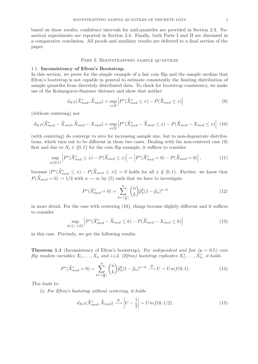based on these results, confidence intervals for mid-quantiles are provided in Section 2.3. Numerical experiments are reported in Section 2.4. Finally, both Parts I and II are discussed in a comparative conclusion. All proofs and auxiliary results are deferred to a final section of the paper.

#### PART I: BOOTSTRAPPING SAMPLE QUANTILES

# 1.1. Inconsistency of Efron's Bootstrap.

In this section, we prove for the simple example of a fair coin flip and the sample median that Efron's bootstrap is not capable in general to estimate consistently the limiting distribution of sample quantiles from discretely distributed data. To check for bootstrap consistency, we make use of the Kolmogorov-Smirnov distance and show that neither

$$
d_{KS}(\widehat{X}_{med}^*, \widehat{X}_{med}) = \sup_{x \in \mathbb{R}} \left| P^*(\widehat{X}_{med}^* \le x) - P(\widehat{X}_{med} \le x) \right| \tag{9}
$$

(without centering) nor

$$
d_{KS}(\widehat{X}_{med}^* - \widehat{X}_{med}, \widehat{X}_{med} - X_{med}) = \sup_{x \in \mathbb{R}} \left| P^*(\widehat{X}_{med}^* - \widehat{X}_{med} \le x) - P(\widehat{X}_{med} - X_{med} \le x) \right| \tag{10}
$$

(with centering) do converge to zero for increasing sample size, but to non-degenerate distributions, which turn out to be different in these two cases. Dealing with the non-centered case (9) first and due to  $X_i \in \{0,1\}$  for the coin flip example, it suffices to consider

$$
\sup_{x \in [0,1)} \left| P^*(\widehat{X}_{med}^* \le x) - P(\widehat{X}_{med} \le x) \right| = \left| P^*(\widehat{X}_{med}^* = 0) - P(\widehat{X}_{med} = 0) \right|, \tag{11}
$$

because  $|P^*(X^*_{med} \leq x) - P(X_{med} \leq x)| = 0$  holds for all  $x \notin [0,1)$ . Further, we know that  $P(\hat{X}_{med} = 0) \rightarrow 1/2$  with  $n \rightarrow \infty$  by (5) such that we have to investigate

$$
P^*(\hat{X}_{med}^* = 0) = \sum_{k=\lceil \frac{n}{2} \rceil}^n {n \choose k} \hat{p}_n^k (1 - \hat{p}_n)^{n-k}
$$
(12)

in more detail. For the case with centering (10), things become slightly different and it suffices to consider

$$
\sup_{k \in \{-1,0\}} \left| P^*(\widehat{X}_{med}^* - \widehat{X}_{med} \le k) - P(\widehat{X}_{med} - X_{med} \le k) \right| \tag{13}
$$

in this case. Precisely, we get the following results.

Theorem 1.1 (Inconsistency of Efron's bootstrap). *For independent and fair (*p = 0.5*) coin*  $f$ *lip random variables*  $X_1, \ldots, X_n$  *and i.i.d.* (*Efron*) bootstrap replicates  $X_1^*, \ldots, X_n^*$ , *it holds* 

$$
P^*(\widehat{X}_{med}^* = 0) = \sum_{k=\lceil \frac{n}{2} \rceil}^n {n \choose k} \widehat{p}_n^k (1 - \widehat{p}_n)^{n-k} \xrightarrow{\mathcal{D}} U \sim Unif(0,1).
$$
 (14)

*This leads to:*

(i) *For Efron's bootstrap without centering, it holds*

$$
d_{KS}(\widehat{X}_{med}^*, \widehat{X}_{med}) \xrightarrow{\mathcal{D}} \left| U - \frac{1}{2} \right| \sim Unif(0, 1/2). \tag{15}
$$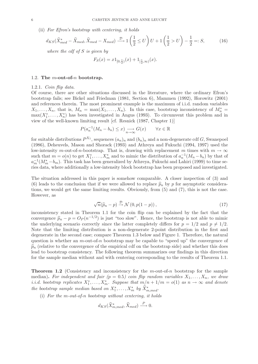(ii) *For Efron's bootstrap with centering, it holds*

$$
d_{KS}(\widehat{X}_{med}^* - \widehat{X}_{med}, \widehat{X}_{med} - X_{med}) \xrightarrow{\mathcal{D}} 1\left(\frac{1}{2} \le U\right)U + 1\left(\frac{1}{2} > U\right) - \frac{1}{2} =: S,\tag{16}
$$

*where the cdf of* S *is given by*

$$
F_S(x) = x 1_{[0, \frac{1}{2})}(x) + 1_{[\frac{1}{2}, \infty)}(x).
$$

# 1.2. The  $m$ -out-of- $n$  bootstrap.

# 1.2.1. *Coin flip data.*

Of course, there are other situations discussed in the literature, where the ordinary Efron's bootstrap fails; see Bickel and Friedman (1981, Section 6), Mammen (1992), Horowitz (2001) and references therein. The most prominent example is the maximum of i.i.d. random variables  $X_1,\ldots,X_n$ , that is,  $M_n = \max(X_1,\ldots,X_n)$ . In this case, bootstrap inconsistency of  $M_n^* =$  $\max(X_1^*,\ldots,X_n^*)$  has been investigated in Angus (1993). To circumvent this problem and in view of the well-known limiting result [cf. Resnick (1987, Chapter 1)]

$$
P(a_n^{-1}(M_n - b_n) \le x) \underset{n \to \infty}{\longrightarrow} G(x) \qquad \forall x \in \mathbb{R}
$$

for suitable distributions  $P^{X_1}$ , sequences  $(a_n)_n$  and  $(b_n)_n$  and a non-degenerate cdf G, Swanepoel (1986), Deheuvels, Mason and Shorack (1993) and Athreya and Fukuchi (1994, 1997) used the low-intensity m-out-of-n-bootstrap. That is, drawing with replacement m times with  $m \to \infty$ such that  $m = o(n)$  to get  $X_1^*, \ldots, X_m^*$  and to mimic the distribution of  $a_n^{-1}(M_n - b_n)$  by that of  $a_m^{-1}(M_m^*-b_m)$ . This task has been generalized by Athreya, Fukuchi and Lahiri (1999) to time series data, where additionally a low-intensity block bootstrap has been proposed and investigated.

The situation addressed in this paper is somehow comparable. A closer inspection of (3) and (6) leads to the conclusion that if we were allowed to replace  $\widehat{p}_n$  by p for asymptotic considerations, we would get the same limiting results. Obviously, from (5) and (7), this is not the case. However, as

$$
\sqrt{n}(\widehat{p}_n - p) \xrightarrow{\mathcal{D}} \mathcal{N}(0, p(1 - p)), \qquad (17)
$$

inconsistency stated in Theorem 1.1 for the coin flip can be explained by the fact that the convergence  $\hat{p}_n - p = O_P(n^{-1/2})$  is just "too slow". Hence, the bootstrap is not able to mimic the underlying scenario correctly since the latter completely differs for  $p = 1/2$  and  $p \neq 1/2$ . Note that the limiting distribution is a non-degenerate 2-point distribution in the first and degenerate in the second case; compare Theorem 1.3 below and Figure 1. Therefore, the natural question is whether an  $m$ -out-of-n bootstrap may be capable to "speed up" the convergence of  $\hat{p}_n$  (relative to the convergence of the empirical cdf on the bootstrap side) and whether this does lead to bootstrap consistency. The following theorem summarizes our findings in this direction for the sample median without and with centering corresponding to the results of Theorem 1.1.

**Theorem 1.2** (Consistency and inconsistency for the  $m$ -out-of-n bootstrap for the sample median). For independent and fair  $(p = 0.5)$  coin flip random variables  $X_1, \ldots, X_n$ , we draw *i.i.d. bootstrap replicates*  $X_1^*, \ldots, X_m^*$ . Suppose that  $m\left(n + 1/m = o(1)\right)$  as  $n \to \infty$  and denote *the bootstrap sample median based on*  $X_1^*, \ldots, X_m^*$  *by*  $X_{m,med}^*$ .

(i) *For the* m*-out-of-*n *bootstrap without centering, it holds*

$$
d_{KS}(\widehat{X}_{m,med}^*, \widehat{X}_{med}) \xrightarrow{P} 0.
$$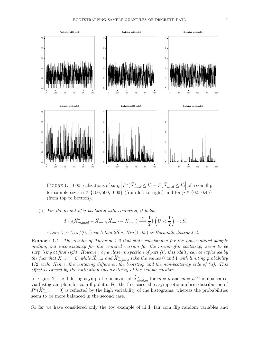

FIGURE 1. 1000 realizations of  $\sup_k |P^*(\widehat{X}_{med}^* \leq k) - P(\widehat{X}_{med} \leq k)|$  of a coin flip for sample sizes  $n \in \{100, 500, 1000\}$  (from left to right) and for  $p \in \{0.5, 0.45\}$ (from top to bottom).

(ii) *For the* m*-out-of-*n *bootstrap with centering, it holds*

$$
d_{KS}(\widehat{X}_{m,med}^*-\widehat{X}_{med},\widehat{X}_{med}-X_{med}) \stackrel{\mathcal{D}}{\longrightarrow} \frac{1}{2}\mathbf{1}\left(U < \frac{1}{2}\right)=:\widetilde{S},
$$

*where*  $U \sim Unif(0,1)$  *such that*  $2\tilde{S} \sim Bin(1,0.5)$  *is Bernoulli-distributed.* 

Remark 1.1. *The results of Theorem 1.2 that state consistency for the non-centered sample median, but inconsistency for the centered version for the* m*-out-of-*n *bootstrap, seem to be surprising at first sight. However, by a closer inspection of part (ii) this oddity can be explained by the fact that*  $X_{med} = 0$ , while  $X_{med}$  *and*  $X_{m,med}^*$  *take the values* 0 *and* 1 *with limiting probability* 1/2 *each. Hence, the centering differs on the bootstrap and the non-bootstrap side of (ii). This effect is caused by the estimation inconsistency of the sample median.*

In Figure 2, the differing asymptotic behavior of  $\hat{X}^*_{\text{med,m}}$  for  $m = n$  and  $m = n^{2/3}$  is illustrated via histogram plots for coin flip data. For the first case, the asymptotic uniform distribution of  $P^*(X^*_{med,n} = 0)$  is reflected by the high variability of the histograms, whereas the probabilities seem to be more balanced in the second case.

So far we have considered only the toy example of i.i.d. fair coin flip random variables and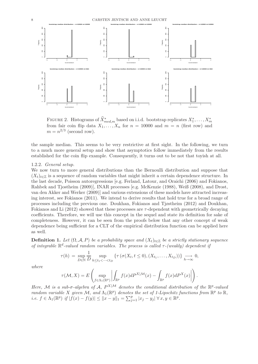

FIGURE 2. Histograms of  $X_{med,m}^*$  based on i.i.d. bootstrap replicates  $X_1^*, \ldots, X_m^*$ from fair coin flip data  $X_1, \ldots, X_n$  for  $n = 10000$  and  $m = n$  (first row) and  $m = n^{2/3}$  (second row).

the sample median. This seems to be very restrictive at first sight. In the following, we turn to a much more general setup and show that asymptotics follow immediately from the results established for the coin flip example. Consequently, it turns out to be not that toyish at all.

# 1.2.2. *General setup.*

We now turn to more general distributions than the Bernoulli distribution and suppose that  $(X_t)_{t\in\mathbb{Z}}$  is a sequence of random variables that might inherit a certain dependence structure. In the last decade, Poisson autoregressions [e.g. Ferland, Latour, and Oraichi (2006) and Fokianos, Rahbek and Tjostheim (2009)], INAR processes [e.g. McKenzie (1988), Weiß (2008), and Drost, van den Akker and Werker (2009)] and various extensions of these models have attracted increasing interest, see Fokianos (2011). We intend to derive results that hold true for a broad range of processes including the previous one. Doukhan, Fokianos and Tjøstheim (2012) and Doukhan, Fokianos and Li  $(2012)$  showed that these processes are  $\tau$ -dependent with geometrically decaying coefficients. Therefore, we will use this concept in the sequel and state its definition for sake of completeness. However, it can be seen from the proofs below that any other concept of weak dependence being sufficient for a CLT of the empirical distribution function can be applied here as well.

**Definition 1.** Let  $(\Omega, \mathcal{A}, P)$  be a probability space and  $(X_t)_{t \in \mathbb{Z}}$  be a strictly stationary sequence *of integrable*  $\mathbb{R}^d$ -valued random variables. The process is called  $\tau$ -(weakly) dependent if

$$
\tau(h) = \sup_{D \in \mathbb{N}} \frac{1}{D} \sup_{h \le t_1 < \dots < t_D} \{ \tau(\sigma(X_t, t \le 0), (X_{t_1}, \dots, X_{t_D})) \} \underset{h \to \infty}{\longrightarrow} 0,
$$

*where*

$$
\tau(\mathcal{M}, X) = E\left(\sup_{f \in \Lambda_1(\mathbb{R}^p)} \left| \int_{\mathbb{R}^p} f(x) dP^{X|\mathcal{M}}(x) - \int_{\mathbb{R}^p} f(x) dP^X(x) \right| \right).
$$

*Here,* M is a sub- $\sigma$ -algebra of A,  $P^{X|M}$  denotes the conditional distribution of the  $\mathbb{R}^p$ -valued *random variable* X given M, and  $\Lambda_1(\mathbb{R}^p)$  denotes the set of 1-Lipschitz functions from  $\mathbb{R}^p$  to  $\mathbb{R}$ , *i.e.*  $f \in \Lambda_1(\mathbb{R}^p)$  *if*  $|f(x) - f(y)| \le ||x - y||_1 = \sum_{j=1}^p |x_j - y_j| \ \forall \, x, y \in \mathbb{R}^p$ .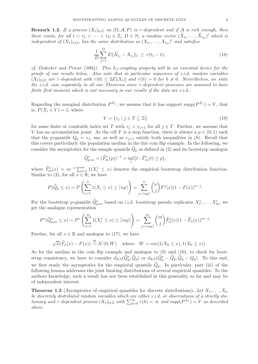**Remark 1.2.** *If a process*  $(X_t)_{t\in\mathbb{Z}}$  *on*  $(\Omega, \mathcal{A}, P)$  *is*  $\tau$ -dependent and if  $\mathcal{A}$  *is rich enough, then there exists, for all*  $t < t_1 < \cdots < t_D \in \mathbb{Z}$ ,  $D \in \mathbb{N}$ , a random vector  $(\widetilde{X}_{t_1}, \ldots, \widetilde{X}_{t_D})'$  which is *independent of*  $(X_s)_{s \leq t}$ , has the same distribution as  $(X_{t_1},...,X_{t_D})'$  and satisfies

$$
\frac{1}{D} \sum_{j=1}^{D} E\|\widetilde{X}_{t_j} - X_{t_j}\|_1 \le \tau(t_1 - t); \tag{18}
$$

*cf. Dedecker and Prieur (2004). This* L1*-coupling property will be an essential device for the proofs of our results below. Also note that in particular sequences of i.i.d. random variables*  $(X_t)_{t\in\mathbb{Z}}$  are  $\tau$ -dependent with  $\tau(0) \leq 2E||X_1||$  and  $\tau(h) = 0$  for  $h \neq 0$ . Nevertheless, we state *the i.i.d. case separately in all our Theorems since* τ *-dependent processes are assumed to have finite first moment which is not necessary in our results if the data are i.i.d..*

Regarding the marginal distribution  $P^{X_1}$ , we assume that it has support supp $(P^{X_1}) = V$ , that is,  $P(X_i \in V) = 1$ , where

$$
V = \{v_j \mid j \in T \subseteq \mathbb{Z}\}\tag{19}
$$

for some finite or countable index set T with  $v_i < v_{i+1}$  for all  $j \in T$ . Further, we assume that V has no accumulation point. As the cdf F is a step function, there is always a  $p \in (0,1)$  such that the p-quantile  $Q_p = v_j$ , say, as well as  $v_{j+1}$  satisfy both inequalities in (8). Recall that this covers particularly the population median in the fair coin flip example. In the following, we consider the asymptotics for the sample quantile  $\widehat{Q}_p$  as defined in (2) and its bootstrap analogue

$$
\widehat{Q}_{p,m}^* = (\widehat{F}_m^*(p))^{-1} = \inf_t \{ t : \widehat{F}_m^*(t) \ge p \},
$$

where  $\widehat{F}_m^*(x) = m^{-1} \sum_{i=1}^m 1(X_i^* \leq x)$  denotes the empirical bootstrap distribution function. Similar to (3), for all  $x \in \mathbb{R}$ , we have

$$
P(\widehat{Q}_p \le x) = P\left(\sum_{i=1}^n 1(X_i \le x) \ge \lceil np \rceil\right) = \sum_{j=\lceil np \rceil}^n {n \choose j} F^j(x) (1 - F(x))^{n-j}.
$$

For the bootstrap p-quantile  $Q_{p,m}^*$  based on i.i.d. bootstrap pseudo replicates  $X_1^*, \ldots, X_m^*$ , we get the analogue representation

$$
P^*(\widehat{Q}_{p,m}^* \le x) = P^*\left(\sum_{i=1}^m 1(X_i^* \le x) \ge \lceil mp \rceil\right) = \sum_{j=\lceil mp \rceil}^m {m \choose j} \widehat{F}_n^j(x) (1 - \widehat{F}_n(x))^{m-j}.
$$

Further, for all  $x \in \mathbb{R}$  and analogue to (17), we have

$$
\sqrt{n}(\widehat{F}_n(x) - F(x)) \xrightarrow{\mathcal{D}} \mathcal{N}(0, W) \quad \text{where} \quad W = cov(1(X_0 \le x), 1(X_0 \le x)).
$$

As for the median in the coin flip example and analogue to  $(9)$  and  $(10)$ , to check for bootstrap consistency, we have to consider  $d_{KS}(Q_p^*, Q_p)$  or  $d_{KS}(Q_p^* - Q_p, Q_p - Q_p)$ . To this end, we first study the asymptotics for the empirical quantile  $\widehat{Q}_p$ . In particular, part (iii) of the following lemma addresses the joint limiting distributions of several empirical quantiles. To the authors knowledge, such a result has not been established in this generality so far and may be of independent interest.

**Theorem 1.3** (Asymptotics of empirical quantiles for discrete distributions). Let  $X_1, \ldots, X_n$ *be discretely distributed random variables which are either i.i.d. or observations of a strictly stationary and*  $\tau$ -dependent process  $(X_t)_{t \in \mathbb{Z}}$  with  $\sum_{h=0}^{\infty} \tau(h) < \infty$  and  $supp(P^{X_1}) = V$  as described *above.*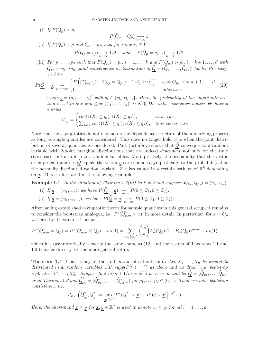(i) *If*  $F(Q_p) > p$ ,

$$
P(\widehat{Q}_p = Q_p) \underset{n \to \infty}{\longrightarrow} 1.
$$

- (ii) *If*  $F(Q_p) = p$  *and*  $Q_p = v_j$ *, say, for some*  $v_j \in V$ *,*  $P(Q_p = v_j) \longrightarrow_{n \to \infty} 1/2$  *and*  $P(Q_p = v_{j+1}) \longrightarrow_{n \to \infty} 1/2$ .
- (iii) *For*  $p_1, ..., p_d$  *such that*  $F(Q_{p_i}) = p_i$ ,  $i = 1, ..., k$  *and*  $F(Q_{p_i}) > p_i$ ,  $i = k + 1, ..., d$  *with*  $Q_{p_i} = v_{l_i}$ , say, joint convergence in distribution of  $\underline{Q} = (Q_{p_1}, \ldots, Q_{p_d})'$  holds. Precisely, *we have*

$$
P(\widehat{\underline{Q}} = \underline{q}) \underset{n \longrightarrow \infty}{\longrightarrow} \begin{cases} P\left(\bigcap_{j=1}^{k} \left\{(2 \cdot 1(q_j = Q_{p_j}) - 1)Z_j \ge 0\right\}\right), & q_i = Q_{p_i}, \ i = k+1, \dots, d\\ 0, & \text{otherwise} \end{cases} \tag{20}
$$

where  $\underline{q} = (q_1, \ldots, q_d)'$  with  $q_i \in \{v_{l_i}, v_{l_i+1}\}$ . Here, the probability of the empty intersec*tion is set to one and*  $\underline{Z} = (Z_1, \ldots, Z_k)' \sim \mathcal{N}(\underline{0}, \mathbf{W})$  *with covariance matrix* **W** *having entries*

$$
W_{i,j} = \begin{cases} cov(1(X_0 \le q_i), 1(X_0 \le q_j)), & i.i.d. case \\ \sum_{h \in \mathbb{Z}} cov(1(X_h \le q_i), 1(X_0 \le q_j)), & time series case \end{cases}.
$$

Note that the asymptotics do not depend on the dependence structure of the underlying process as long as single quantiles are considered. This does no longer hold true when the joint distribution of several quantiles is considered. Part (iii) above shows that  $\hat{Q}$  converges to a random variable with 2-point marginal distributions that are indeed *dependent* not only for the time series case, but also for i.i.d. random variables. More precisely, the probability that the vector of empirical quantiles  $\hat{Q}$  equals the vector q corresponds asymptotically to the probability that the normally distributed random variable  $\underline{Z}$  takes values in a certain orthant of  $\mathbb{R}^k$  depending on q. This is illustrated in the following example.

**Example 1.1.** In the situation of Theorem 1.3(iii) let  $k = 2$  and suppose  $(Q_{p_1}, Q_{p_2}) = (v_{i_1}, v_{i_2})$ .

(i) If  $\underline{q} = (v_{i_1}, v_{i_2}),$  we have  $P(\underline{Q} = \underline{q}) \rightarrow P(0 \leq Z_1, 0 \leq Z_2).$ (ii) *If*  $\underline{q} = (v_{i_1}, v_{i_2+1})$ *, we have*  $P(\underline{Q} = \underline{q}) \underset{n \to \infty}{\to} P(0 \leq Z_1, 0 \geq Z_2)$ *.* 

After having established asymptotic theory for sample quantiles in this general setup, it remains to consider the bootstrap analogue, i.e.  $P^*(Q_{p,m}^* \leq x)$ , in more detail. In particular, for  $x = Q_p$ we have by Theorem 1.4 below

$$
P^*(\widehat{Q}_{p,m}^* = Q_p) = P^*(\widehat{Q}_{p,m}^* \le Q_p) - o_P(1) = \sum_{k=\lceil mp \rceil}^m {m \choose k} \widehat{F}_n^k(Q_p) (1 - \widehat{F}_n(Q_p))^{m-k} - o_P(1),
$$

which has (asymptotically) exactly the same shape as (12) and the results of Theorems 1.1 and 1.2 transfer directly to this more general setup.

**Theorem 1.4** (Consistency of the i.i.d. m-out-of-n bootstrap). Let  $X_1, \ldots, X_n$  be discretely distributed *i.i.d.* random variables with  $supp(P^{X_1}) = V$  as above and we draw *i.i.d.* bootstrap *replicates*  $X_1^*, \ldots, X_m^*$ . Suppose that  $m/n + 1/m = o(1)$  as  $n \to \infty$  and let  $Q = (Q_{p_1}, \ldots, Q_{p_d})$ *as in Theorem 1.3 and*  $\hat{Q}_n^*$  $\mathcal{L}_{m}^{*} = (Q_{p_{1},m}^{*}, \ldots, Q_{p_{d},m}^{*})$  *for*  $p_{1}, \ldots, p_{d} \in (0,1)$ *. Then, we have bootstrap consistency, i.e.*

$$
d_{KS}\left(\widehat{\underline{Q}}_m^*,\widehat{\underline{Q}}\right) := \sup_{\underline{x}\in\mathbb{R}^d} \left| P^*(\widehat{\underline{Q}}_m^* \le \underline{x}) - P(\widehat{\underline{Q}} \le \underline{x}) \right| \xrightarrow{P} 0.
$$

*Here, the short-hand*  $\underline{x} \leq \underline{y}$  *for*  $\underline{x}, \underline{y} \in \mathbb{R}^d$  *is used to denote*  $x_i \leq y_i$  *for all*  $i = 1, ..., d$ *.*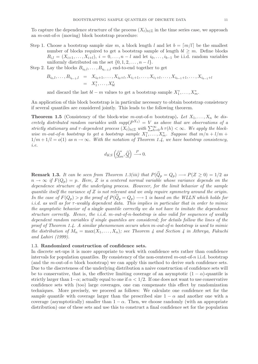To capture the dependence structure of the process  $(X_t)_{t\in\mathbb{Z}}$  in the time series case, we approach an  $m$ -out-of- $n$  (moving) block bootstrap procedure:

- Step 1. Choose a bootstrap sample size m, a block length l and let  $b = \lfloor m/l \rfloor$  be the smallest number of blocks required to get a bootstrap sample of length  $bl \geq m$ . Define blocks  $B_{i,l} = (X_{i+1},..., X_{i+l}), i = 0,...,n-l$  and let  $i_0,...,i_{b-1}$  be i.i.d. random variables uniformly distributed on the set  $\{0, 1, 2, \ldots, n-l\}.$
- Step 2. Lay the blocks  $B_{i_0,l},\ldots,B_{i_{b-1},l}$  end-to-end together to get

$$
B_{i_0,l},\ldots,B_{i_{b-1},l} = X_{i_0+1},\ldots,X_{i_0+l},X_{i_1+1},\ldots,X_{i_1+l},\ldots,X_{i_{b-1}+1},\ldots,X_{i_{b-1}+l}
$$
  
=  $X_1^*,\ldots,X_{bl}^*$ 

and discard the last  $bl - m$  values to get a bootstrap sample  $X_1^*, \ldots, X_m^*$ .

An application of this block bootstrap is in particular necessary to obtain bootstrap consistency if several quantiles are considered jointly. This leads to the following theorem.

**Theorem 1.5** (Consistency of the block-wise m-out-of-n bootstrap). Let  $X_1, \ldots, X_n$  be dis*cretely distributed random variables with supp* $(P^{X_1}) = V$  *as above that are observations of a strictly stationary and*  $\tau$ -dependent process  $(X_t)_{t \in \mathbb{Z}}$  with  $\sum_{h=0}^{\infty} h \tau(h) < \infty$ . We apply the block $wise \ m\text{-}out\text{-}of\text{-}n \text{ bootstrap to get a bootstrap sample } X_1^*, \ldots, X_m^*.$  Suppose that  $m/n + l/m + l$  $1/m + 1/l = o(1)$  *as*  $n \to \infty$ *. With the notation of Theorem 1.4, we have bootstrap consistency, i.e.*

$$
d_{KS}\left(\underline{\widehat{Q}}_m^*,\underline{\widehat{Q}}\right)\stackrel{P}{\longrightarrow} 0.
$$

**Remark 1.3.** It can be seen from Theorem 1.3(iii) that  $P(\hat{Q}_p = Q_p) \longrightarrow P(Z \ge 0) = 1/2$  as  $n \to \infty$  *if*  $F(Q_p) = p$ . Here, Z *is a centered normal variable whose variance depends on the dependence structure of the underlying process. However, for the limit behavior of the sample quantile itself the variance of* Z *is not relevant and we only require symmetry around the origin. In the case of*  $F(Q_p) > p$  *the proof of*  $P(Q_p = Q_p) \longrightarrow 1$  *is based on the WLLN which holds for i.i.d.* as well as for τ-weakly dependent data. This implies in particular that in order to mimic *the asymptotic behavior of a single quantile correctly we do not have to imitate the dependence structure correctly. Hence, the i.i.d.* m*-out-of-*n*-bootstrap is also valid for sequences of weakly dependent random variables if single quantiles are considered; for details follow the lines of the proof of Theorem 1.4. A similar phenomenon occurs when* m*-out-of-*n *bootstrap is used to mimic the distribution of*  $M_n = \max(X_1, \ldots, X_n)$ *; see Theorem 4 and Section 4 in Athreya, Fukuchi and Lahiri (1999).*

# 1.3. Randomized construction of confidence sets.

In discrete set-ups it is more appropriate to work with confidence sets rather than confidence intervals for population quantiles. By consistency of the non-centered m-out-of-n i.i.d. bootstrap (and the m-out-of-n block bootstrap) we can apply this method to derive such confidence sets. Due to the discreteness of the underlying distribution a naive construction of confidence sets will be to conservative, that is, the effective limiting coverage of an asymptotic  $(1 - \alpha)$ -quantile is strictly larger than  $1-\alpha$ ; actually equal to one if  $\alpha < 1/2$ . If one does not want to use conservative confidence sets with (too) large coverages, one can compensate this effect by randomization techniques. More precisely, we proceed as follows: We calculate one confidence set for the *sample quantile* with coverage larger than the prescribed size  $1 - \alpha$  and another one with a coverage (asymptotically) smaller than  $1 - \alpha$ . Then, we choose randomly (with an appropriate distribution) one of these sets and use this to construct a final confidence set for the population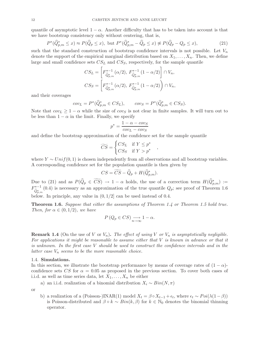quantile of asymptotic level  $1 - \alpha$ . Another difficulty that has to be taken into account is that we have bootstrap consistency only without centering, that is,

$$
P^*(\widehat{Q}_{p,m}^* \le x) \approx P(\widehat{Q}_p \le x), \text{ but } P^*(\widehat{Q}_{p,m}^* - \widehat{Q}_p \le x) \not\approx P(\widehat{Q}_p - Q_p \le x), \tag{21}
$$

such that the standard construction of bootstrap confidence intervals is not possible. Let  $V_n$ denote the support of the empirical marginal distribution based on  $X_1, \ldots, X_n$ . Then, we define large and small confidence sets  $CS<sub>L</sub>$  and  $CS<sub>S</sub>$ , respectively, for the sample quantile

$$
CS_L = \left[ F_{\hat{Q}_{p,m}^{*}}^{*-1}(\alpha/2), F_{\hat{Q}_{p,m}^{*}}^{*-1}(1-\alpha/2) \right] \cap V_n,
$$
  

$$
CS_S = \left[ F_{\hat{Q}_{p,m}^{*}}^{*-1}(\alpha/2), F_{\hat{Q}_{p,m}^{*}}^{*-1}(1-\alpha/2) \right) \cap V_n,
$$

and their coverages

$$
cov_L = P^*(\widehat{Q}_{p,m}^* \in CS_L), \qquad cov_S = P^*(\widehat{Q}_{p,m}^* \in CS_S).
$$

Note that  $cov_L \geq 1 - \alpha$  while the size of  $cov_S$  is not clear in finite samples. It will turn out to be less than  $1 - \alpha$  in the limit. Finally, we specify

$$
p^* = \frac{1 - \alpha - cov_S}{cov_L - cov_S}
$$

and define the bootstrap approximation of the confidence set for the sample quantile

$$
\widetilde{CS} = \begin{cases} CS_L & \text{if } Y \le p^* \\ CS_S & \text{if } Y > p^* \end{cases}
$$

,

where  $Y \sim Unif(0,1)$  is chosen independently from all observations and all bootstrap variables. A corresponding confidence set for the population quantile is then given by

$$
CS = \widetilde{CS} - \widehat{Q}_p + H(\widehat{Q}_{p,m}^*).
$$

Due to (21) and as  $P(Q_p \in CS) \to 1-\alpha$  holds, the use of a correction term  $H(Q_{p,m}^*) :=$  $F_{\widehat{\Omega}*}^{*-1}$  $\widehat{Q}_{p,m}^{*-1}(0.4)$  is necessary as an approximation of the true quantile  $Q_p$ ; see proof of Theorem 1.6 below. In principle, any value in  $(0, 1/2]$  can be used instead of 0.4.

Theorem 1.6. *Suppose that either the assumptions of Theorem 1.4 or Theorem 1.5 hold true. Then, for*  $\alpha \in (0, 1/2)$ *, we have* 

$$
P(Q_p \in CS) \underset{n \to \infty}{\longrightarrow} 1 - \alpha.
$$

**Remark 1.4** (On the use of V or  $V_n$ ). The effect of using V or  $V_n$  is asymptotically negligible. *For applications it might be reasonable to assume either that* V *is known in advance or that it is unknown. In the first case* V *should be used to construct the confidence intervals and in the latter case*  $V_n$  *seems to be the more reasonable choice.* 

#### 1.4. Simulations.

In this section, we illustrate the bootstrap performance by means of coverage rates of  $(1 - \alpha)$ confidence sets CS for  $\alpha = 0.05$  as proposed in the previous section. To cover both cases of i.i.d. as well as time series data, let  $X_1, \ldots, X_n$  be either

a) an i.i.d. realization of a binomial distribution  $X_i \sim Bin(N, \pi)$ 

or

b) a realization of a (Poisson-)INAR(1) model  $X_t = \beta \circ X_{t-1} + \epsilon_t$ , where  $\epsilon_t \sim Poi(\lambda(1-\beta))$ is Poisson-distributed and  $\beta \circ k \sim Bin(k, \beta)$  for  $k \in \mathbb{N}_0$  denotes the binomial thinning operator.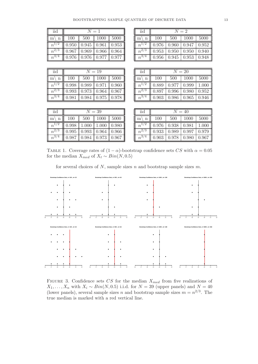| iid       | $N=1$ |       |       |       |
|-----------|-------|-------|-------|-------|
| m<br>n    | 100   | 500   | 1000  | 5000  |
|           | 0.950 | 0.945 | 0.961 | 0.953 |
| $n^{2/3}$ | 0.967 | 0.969 | 0.966 | 0.964 |
|           | 0.976 | 0.976 | 0.977 | 0.977 |

| iid       | $N=19$ |       |       |       |
|-----------|--------|-------|-------|-------|
| m<br>n    | 100    | 500   | 1000  | 5000  |
|           | 0.998  | 0.989 | 0.971 | 0.960 |
| $n^{2/3}$ | 0.993  | 0.973 | 0.964 | 0.967 |
| $n^3$     | 0.981  | 0.984 | 0.975 | 0.978 |

| iid                | $N=2$ |       |       |       |
|--------------------|-------|-------|-------|-------|
| $m \setminus$<br>n | 100   | 500   | 1000  | 5000  |
| $n^{1/2}$          | 0.976 | 0.960 | 0.947 | 0.952 |
| $n^{2/3}$          | 0.953 | 0.950 | 0.950 | 0.940 |
| $n^{3/4}$          | 0.956 | 0.945 | 0.953 | 0.948 |

| iid             | $N=20$ |       |       |       |
|-----------------|--------|-------|-------|-------|
| m<br>n          | 100    | 500   | 1000  | 5000  |
| $n^{1}$         | 0.889  | 0.977 | 0.999 | 1.000 |
| $n^{2/\bar{3}}$ | 0.897  | 0.996 | 0.980 | 0.952 |
| $n^{3/2}$       | 0.903  | 0.986 | 0.965 | 0.946 |

| iid               | $N=39$ |       |       |       |
|-------------------|--------|-------|-------|-------|
| m'<br>$\mathbf n$ | 100    | 500   | 1000  | 5000  |
| $n^{1/2}$         | 0.998  | 1.000 | 1.000 | 0.980 |
| $n^{2/3}$         | 0.995  | 0.993 | 0.964 | 0.966 |
| $n^{3/2}$         | 0.987  | 0.984 | 0.973 | 0.967 |

| iid       | $N=40$ |       |       |       |  |
|-----------|--------|-------|-------|-------|--|
| m<br>n    | 100    | 500   | 1000  | 5000  |  |
| $n^{1/2}$ | 0.976  | 0.938 | 0.981 | 1.000 |  |
|           | 0.933  | 0.989 | 0.997 | 0.979 |  |
|           | 0.903  | 0.978 | 0.980 | 0.967 |  |

TABLE 1. Coverage rates of  $(1 - \alpha)$ -bootstrap confidence sets CS with  $\alpha = 0.05$ for the median  $X_{med}$  of  $X_t \sim Bin(N, 0.5)$ 

for several choices of  $N$ , sample sizes  $n$  and bootstrap sample sizes  $m$ .



FIGURE 3. Confidence sets  $CS$  for the median  $X_{med}$  from five realizations of  $X_1, \ldots, X_n$  with  $X_i \sim Bin(N, 0.5)$  i.i.d. for  $N = 39$  (upper panels) and  $N = 40$ (lower panels), several sample sizes n and bootstrap sample sizes  $m = n^{2/3}$ . The true median is marked with a red vertical line.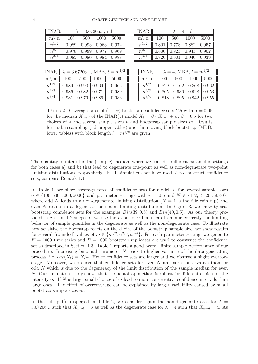| <b>INAR</b> | $\lambda = 3.67206$ , iid |       |       |       |
|-------------|---------------------------|-------|-------|-------|
| m<br>n      | 100                       | 500   | 1000  | 5000  |
| $n^{1/2}$   | 0.989                     | 0.993 | 0.963 | 0.972 |
| $n^{2/3}$   | 0.978                     | 0.989 | 0.977 | 0.969 |
| $n^{3/4}$   | 0.985                     | 0.980 | 0.984 | 0.988 |

| INAR                 | $\lambda = 4$ , iid |       |                    |       |
|----------------------|---------------------|-------|--------------------|-------|
| $m \setminus n$      | 100                 | 500   | 1000               | 5000  |
| $n^{1/\overline{2}}$ | 0.801               | 0.778 | $0.882 \mid 0.957$ |       |
| $n^{2/\overline{3}}$ | 0.800               | 0.923 | 0.943              | 0.962 |
| $n^{3/4}$            | 0.820               | 0.901 | 0.940              | 0.939 |

| <b>INAR</b>       | $\lambda = 3.67206, \text{ MBB}, l = m^{1/2}$ |       |       |       |  |
|-------------------|-----------------------------------------------|-------|-------|-------|--|
| $m\setminus$<br>n | 100                                           | 500   | 1000  | 5000  |  |
|                   | 0.989                                         | 0.990 | 0.969 | 0.966 |  |
| $n^{2/3}$         | 0.986                                         | 0.982 | 0.971 | 0.980 |  |
| $n^{3/4}$         | 0.981                                         | 0.979 | 0.986 | 0.986 |  |

| <b>INAR</b>           | $\lambda = 4$ , MBB, $l = m^{1/2}$ |  |                  |                                               |  |
|-----------------------|------------------------------------|--|------------------|-----------------------------------------------|--|
| $m \nightharpoonup n$ | 100                                |  | $1000 \mid 5000$ |                                               |  |
|                       |                                    |  |                  | $0.829 \mid 0.762 \mid 0.868 \mid 0.962 \mid$ |  |
| $n^{2/3}$             |                                    |  |                  | $0.805 \mid 0.930 \mid 0.928 \mid 0.953 \mid$ |  |
| $n^{3/4}$             |                                    |  |                  | $0.818$   0.895   0.942   0.955               |  |

TABLE 2. Coverage rates of  $(1 - \alpha)$ -bootstrap confidence sets CS with  $\alpha = 0.05$ for the median  $X_{med}$  of the INAR(1) model  $X_t = \beta \circ X_{t-1} + \epsilon_t$ ,  $\beta = 0.5$  for two choices of  $\lambda$  and several sample sizes n and bootstrap sample sizes m. Results for i.i.d. resampling (iid, upper tables) and the moving block bootstrap (MBB, lower tables) with block length  $l = m^{1/2}$  are given.

The quantity of interest is the (sample) median, where we consider different parameter settings for both cases a) and b) that lead to degenerate one-point as well as non-degenerate two-point limiting distributions, respectively. In all simulations we have used  $V$  to construct confidence sets; compare Remark 1.4.

In Table 1, we show coverage rates of confidence sets for model a) for several sample sizes  $n \in \{100, 500, 1000, 5000\}$  and parameter settings with  $\pi = 0.5$  and  $N \in \{1, 2, 19, 20, 39, 40\}$ , where odd N leads to a non-degenerate limiting distribution  $(N = 1)$  is the fair coin flip) and even N results in a degenerate one-point limiting distribution. In Figure 3, we show typical bootstrap confidence sets for the examples  $Bin(39, 0.5)$  and  $Bin(40, 0.5)$ . As our theory provided in Section 1.2 suggests, we use the m-out-of-n bootstrap to mimic correctly the limiting behavior of sample quantiles in the degenerate as well as the non-degenerate case. To illustrate how sensitive the bootstrap reacts on the choice of the bootstrap sample size, we show results for several (rounded) values of  $m \in \{n^{1/2}, n^{2/3}, n^{3/4}\}\.$  For each parameter setting, we generate  $K = 1000$  time series and  $B = 1000$  bootstrap replicates are used to construct the confidence set as described in Section 1.3. Table 1 reports a good overall finite sample performance of our procedure. Increasing binomial parameter N leads to higher variance of the data generating process, i.e.  $var(X_t) = N/4$ . Hence confidence sets are larger and we observe a slight overcoverage. Moreover, we observe that confidence sets for even  $N$  are more conservative than for odd N which is due to the degeneracy of the limit distribution of the sample median for even N. Our simulation study shows that the bootstrap method is robust for different choices of the intensity  $m$ . If N is large, small choices of  $m$  lead to more conservative confidence intervals than large ones. The effect of overcoverage can be explained by larger variability caused by small bootstrap sample sizes m.

In the set-up b), displayed in Table 2, we consider again the non-degenerate case for  $\lambda =$ 3.67206... such that  $X_{med} = 3$  as well as the degenerate case for  $\lambda = 4$  such that  $X_{med} = 4$ . As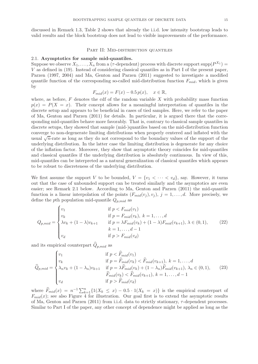discussed in Remark 1.3, Table 2 shows that already the i.i.d. low intensity bootstrap leads to valid results and the block bootstrap does not lead to visible improvements of the performance.

# PART II: MID-DISTRIBUTION QUANTILES

# 2.1. Asymptotics for sample mid-quantiles.

Suppose we observe  $X_1, \ldots, X_n$  from a ( $\tau$ -dependent) process with discrete support supp $(P^{X_1}) =$ V as defined in (19). Instead of considering classical quantiles as in Part I of the present paper, Parzen (1997, 2004) and Ma, Genton and Parzen (2011) suggested to investigate a modified quantile function of the corresponding so-called mid-distribution function  $F_{mid}$ , which is given by

$$
F_{mid}(x) = F(x) - 0.5 p(x), \quad x \in \mathbb{R},
$$

where, as before,  $F$  denotes the cdf of the random variable  $X$  with probability mass function  $p(x) = P(X = x)$ . Their concept allows for a meaningful interpretation of quantiles in the discrete setup and appears to be beneficial in cases of tied samples. Here, we refer to the paper of Ma, Genton and Parzen (2011) for details. In particular, it is argued there that the corresponding mid-quantiles behave more favorably. That is, contrary to classical sample quantiles in discrete setups, they showed that sample (mid-)quantiles based on the mid-distribution function converge to non-degenerate limiting distributions when properly centered and inflated with the usual  $\sqrt{n}$ -rate as long as they do not correspond to the boundary values of the support of the underlying distribution. In the latter case the limiting distribution is degenerate for any choice of the inflation factor. Moreover, they show that asymptotic theory coincides for mid-quantiles and classical quantiles if the underlying distribution is absolutely continuous. In view of this, mid-quantiles can be interpreted as a natural generalization of classical quantiles which appears to be robust to discreteness of the underlying distribution.

We first assume the support V to be bounded,  $V = \{v_1 < \cdots < v_d\}$ , say. However, it turns out that the case of unbounded support can be treated similarly and the asymptotics are even easier; see Remark 2.1 below. According to Ma, Genton and Parzen (2011) the mid-quantile function is a linear interpolation of the points  $(F_{mid}(v_i), v_i), j = 1, \ldots, d$ . More precisely, we define the pth population mid-quantile  $Q_{p,mid}$  as

$$
Q_{p,mid} = \begin{cases} v_1 & \text{if } p < F_{mid}(v_1) \\ v_k & \text{if } p = F_{mid}(v_k), \ k = 1, ..., d \\ \lambda v_k + (1 - \lambda)v_{k+1} & \text{if } p = \lambda F_{mid}(v_k) + (1 - \lambda)F_{mid}(v_{k+1}), \ \lambda \in (0, 1), \\ v_d & \text{if } p > F_{mid}(v_d) \end{cases}
$$
(22)

and its empirical counterpart  $Q_{p,mid}$  as

$$
\hat{Q}_{p, mid} = \begin{cases}\nv_1 & \text{if } p < \hat{F}_{mid}(v_1) \\
v_k & \text{if } p = \hat{F}_{mid}(v_k) < \hat{F}_{mid}(v_{k+1}), \ k = 1, \dots, d \\
\lambda_n v_k + (1 - \lambda_n)v_{k+1} & \text{if } p = \lambda \hat{F}_{mid}(v_k) + (1 - \lambda_n) \hat{F}_{mid}(v_{k+1}), \ \lambda_n \in (0, 1), \\
\hat{F}_{mid}(v_k) < \hat{F}_{mid}(v_{k+1}), \ k = 1, \dots, d - 1 \\
v_d & \text{if } p > \hat{F}_{mid}(v_d)\n\end{cases} \tag{23}
$$

where  $\widehat{F}_{mid}(x) = n^{-1} \sum_{k=1}^{n} \{1(X_k \leq x) - 0.5 \cdot 1(X_k = x)\}\$ is the empirical counterpart of  $F_{mid}(x)$ ; see also Figure 4 for illustration. Our goal first is to extend the asymptotic results of Ma, Genton and Parzen (2011) from i.i.d. data to strictly stationary,  $\tau$ -dependent processes. Similar to Part I of the paper, any other concept of dependence might be applied as long as the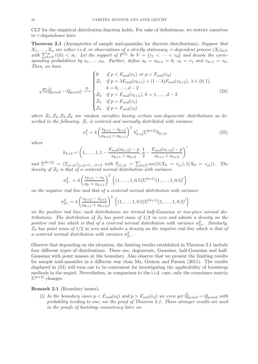CLT for the empirical distribution function holds. For sake of definiteness, we restrict ourselves to  $\tau$ -dependence here.

Theorem 2.1 (Asymptotics of sample mid-quantiles for discrete distributions). *Suppose that*  $X_1, \ldots, X_n$  *are either i.i.d. or observations of a strictly stationary,*  $\tau$ -dependent process  $(X_t)_{t \in \mathbb{Z}}$ with  $\sum_{h=0}^{\infty} \tau(h) < \infty$ . Let the support of  $P^{X_1}$  be  $V = \{v_1 < \cdots < v_d\}$  and denote the corre*sponding probabilities by*  $a_1, \ldots, a_d$ . Further, define  $a_0 = a_{d+1} = 0$ ,  $v_0 = v_1$  and  $v_{d+1} = v_d$ . *Then, we have*

$$
\sqrt{n}(\hat{Q}_{p, mid} - Q_{p, mid}) \xrightarrow{\mathcal{D}} \begin{cases}\n0 & \text{if } p < F_{mid}(v_1) \text{ or } p > F_{mid}(v_d) \\
Z_1 & \text{if } p = \lambda F_{mid}(v_{k+1}) + (1 - \lambda) F_{mid}(v_{k+2}), \lambda \in (0, 1), \\
k = 0, \dots, d - 2 \\
Z_2 & \text{if } p = F_{mid}(v_{k+1}), k = 1, \dots, d - 2 \\
Z_3 & \text{if } p = F_{mid}(v_1) \\
Z_4 & \text{if } p = F_{mid}(v_d)\n\end{cases} \tag{24}
$$

where  $Z_1, Z_2, Z_3, Z_4$  are random variables having certain non-degenerate distributions as de $scribed in the following. Z<sub>1</sub> is centered and normally distributed with variance$ 

$$
\sigma_1^2 = 4 \left( \frac{v_{k+1} - v_{k+2}}{a_{k+2} + a_{k+1}} \right)^2 h'_{k+2} \Sigma^{(k+2)} h_{k+2}, \tag{25}
$$

*where*

$$
h_{k+2} = \left(1, \ldots, 1, 1 - \frac{F_{mid}(v_{k+2}) - p}{a_{k+1} + a_{k+2}}, \frac{1}{2} - \frac{F_{mid}(v_{k+2}) - p}{a_{k+1} + a_{k+2}}\right)^{\prime}
$$

 $and \ \Sigma^{(k+2)} = (\Sigma_{j_1,j_2})_{j_1,j_2=1,\dots,k+2}$  *with*  $\Sigma_{j_1,j_2} = \sum_{h \in \mathbb{Z}} cov(1(X_h = v_{j_1}), 1(X_0 = v_{j_2}))$ *. The density of*  $Z_2$  *is that of a centered normal distribution with variance* 

$$
\sigma_{2-}^2 = 4 \left( \frac{v_{k+1} - v_k}{a_k + a_{k+1}} \right)^2 \left\{ (1, \dots, 1, 0.5) \Sigma^{(k+1)} (1, \dots, 1, 0.5)'\right\}
$$

*on the negative real line and that of a centered normal distribution with variance*

$$
\sigma_{2+}^2 = 4 \left( \frac{v_{k+2} - v_{k+1}}{a_{k+1} + a_{k+2}} \right)^2 \left\{ (1, \dots, 1, 0.5) \Sigma^{(k+1)} (1, \dots, 1, 0.5)'\right\}
$$

*on the positive real line; such distributions are termed half-Gaussian or two-piece normal distributions. The distribution of* Z<sup>3</sup> *has point mass of* 1/2 *in zero and admits a density on the positive real line which is that of a centered normal distribution with variance*  $\sigma_{2+}^2$ *. Similarly,* Z<sup>4</sup> *has point mass of* 1/2 *in zero and admits a density on the negative real line which is that of a* centered normal distribution with variance  $\sigma_{2-}^2$ .

Observe that depending on the situation, the limiting results established in Theorem 2.1 include four different types of distributions. These are, degenerate, Gaussian, half-Gaussian and half-Gaussian with point masses at the boundary. Also observe that we present the limiting results for sample mid-quantiles in a different way than Ma, Genton and Parzen (2011). The results displayed in (24) will turn out to be convenient for investigating the applicability of bootstrap methods in the sequel. Nevertheless, in comparison to the i.i.d. case, only the covariance matrix  $\Sigma^{(k+2)}$  changes.

Remark 2.1 (Boundary issues).

(i) In the boundary cases  $p < F_{mid}(v_0)$  and  $p > F_{mid}(v_d)$  we even get  $Q_{p,mid} = Q_{p,mid}$  with *probability tending to one; see the proof of Theorem 2.1. These stronger results are used in the proofs of bootstrap consistency later on.*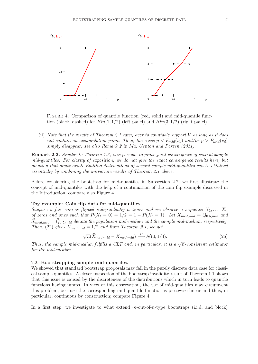

Figure 4. Comparison of quantile function (red, solid) and mid-quantile function (black, dashed) for  $Bin(1, 1/2)$  (left panel) and  $Bin(3, 1/2)$  (right panel).

(ii) *Note that the results of Theorem 2.1 carry over to countable support* V *as long as it does not contain an accumulation point. Then, the cases*  $p < F_{mid}(v_1)$  *and/or*  $p > F_{mid}(v_d)$ *simply disappear; see also Remark 2 in Ma, Genton and Parzen (2011).*

Remark 2.2. *Similar to Theorem 1.3, it is possible to prove joint convergence of several sample mid-quantiles. For clarity of exposition, we do not give the exact convergence results here, but mention that multivariate limiting distributions of several sample mid-quantiles can be obtained essentially by combining the univariate results of Theorem 2.1 above.*

Before considering the bootstrap for mid-quantiles in Subsection 2.2, we first illustrate the concept of mid-quantiles with the help of a continuation of the coin flip example discussed in the Introduction; compare also Figure 4.

# Toy example: Coin flip data for mid-quantiles.

*Suppose a fair coin is flipped independently n times and we observe a sequence*  $X_1, \ldots, X_n$ *of zeros and ones such that*  $P(X_t = 0) = 1/2 = 1 - P(X_t = 1)$ *. Let*  $X_{\text{med}, \text{mid}} = Q_{0.5, \text{mid}}$  and  $X_{\text{med},\text{mid}} = Q_{0.5,\text{mid}}$  denote the population mid-median and the sample mid-median, respectively. *Then,* (22) *gives*  $X_{\text{med}, \text{mid}} = 1/2$  *and from Theorem 2.1, we get* 

$$
\sqrt{n}(\widehat{X}_{med, mid} - X_{med, mid}) \xrightarrow{\mathcal{D}} \mathcal{N}(0, 1/4). \tag{26}
$$

*Thus, the sample mid-median fulfills a CLT and, in particular, it is a*  $\sqrt{n}$ -consistent estimator *for the mid-median.*

# 2.2. Bootstrapping sample mid-quantiles.

We showed that standard bootstrap proposals may fail in the purely discrete data case for classical sample quantiles. A closer inspection of the bootstrap invalidity result of Theorem 1.1 shows that this issue is caused by the discreteness of the distributions which in turn leads to quantile functions having jumps. In view of this observation, the use of mid-quantiles may circumvent this problem, because the corresponding mid-quantile function is piecewise linear and thus, in particular, continuous by construction; compare Figure 4.

In a first step, we investigate to what extend  $m$ -out-of-n-type bootstraps (i.i.d. and block)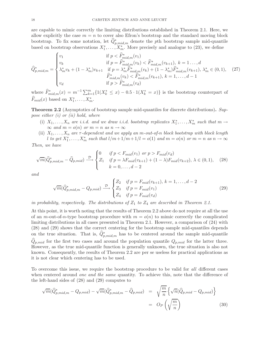are capable to mimic correctly the limiting distributions established in Theorem 2.1. Here, we allow explicitly the case  $m = n$  to cover also Efron's bootstrap and the standard moving block bootstrap. To fix some notation, let  $Q_{p,mid,m}^*$  denote the pth bootstrap sample mid-quantile based on bootstrap observations  $X_1^*, \ldots, X_m^*$ . More precisely and analogue to (23), we define

$$
\hat{Q}_{p,mid,m}^{*} = \begin{cases}\nv_1 & \text{if } p < \hat{F}_{mid,m}^{*}(v_1) \\
v_k & \text{if } p = \hat{F}_{mid,m}^{*}(v_k) < \hat{F}_{mid,m}^{*}(v_{k+1}), \ k = 1..., d \\
\lambda_m^{*} v_k + (1 - \lambda_m^{*}) v_{k+1} & \text{if } p = \lambda_m^{*} \hat{F}_{mid,m}^{*}(v_k) + (1 - \lambda_m^{*}) \hat{F}_{mid,m}^{*}(v_{k+1}), \ \lambda_m^{*} \in (0, 1), \\
\hat{F}_{mid,m}^{*}(v_k) < \hat{F}_{mid,m}^{*}(v_{k+1}), \ k = 1,..., d-1 \\
v_d & \text{if } p > \hat{F}_{mid,m}^{*}(v_d)\n\end{cases} \tag{27}
$$

where  $\widehat{F}_{mid,m}^*(x) = m^{-1} \sum_{k=1}^m \{1(X_k^* \leq x) - 0.5 \cdot 1(X_k^* = x)\}\$ is the bootstrap counterpart of  $F_{mid}(x)$  based on  $X_1^*, \ldots, X_m^*$ .

Theorem 2.2 (Asymptotics of bootstrap sample mid-quantiles for discrete distributions). *Suppose either (i) or (ii) hold, where*

- (i)  $X_1, \ldots, X_n$  are *i.i.d.* and we draw *i.i.d.* bootstrap replicates  $X_1^*, \ldots, X_m^*$  such that  $m \rightarrow$  $\infty$  *and*  $m = o(n)$  *or*  $m = n$  *as*  $n \to \infty$
- (ii)  $X_1, \ldots, X_n$  are  $\tau$ -dependent and we apply an m-out-of-n block bootstrap with block length l to get  $X_1^*, \ldots, X_m^*$  such that  $l/m + 1/m + 1/l = o(1)$  and  $m = o(n)$  or  $m = n$  as  $n \to \infty$

*Then, we have*

$$
\sqrt{m}(\hat{Q}_{p,mid,m}^* - \hat{Q}_{p,mid}) \xrightarrow{\mathcal{D}} \begin{cases} 0 & \text{if } p < F_{mid}(v_1) \text{ or } p > F_{mid}(v_d) \\ Z_1 & \text{if } p = \lambda F_{mid}(v_{k+1}) + (1 - \lambda) F_{mid}(v_{k+2}), \lambda \in (0,1), \\ k = 0, \dots, d - 2 \end{cases} \tag{28}
$$

*and*

$$
\sqrt{m}(\widehat{Q}_{p,mid,m}^* - Q_{p,mid}) \xrightarrow{\mathcal{D}} \begin{cases} Z_2 & \text{if } p = F_{mid}(v_{k+1}), \ k = 1, \dots, d-2 \\ Z_3 & \text{if } p = F_{mid}(v_1) \\ Z_4 & \text{if } p = F_{mid}(v_d) \end{cases}
$$
(29)

*in probability, respectively. The distributions of*  $Z_1$  *to*  $Z_4$  *are described in Theorem 2.1.* 

At this point, it is worth noting that the results of Theorem 2.2 above do not require at all the use of an m-out-of-n-type bootstrap procedure with  $m = o(n)$  to mimic correctly the complicated limiting distributions in all cases presented in Theorem 2.1. However, a comparison of (24) with (28) and (29) shows that the correct centering for the bootstrap sample mid-quantiles depends on the true situation. That is,  $Q_{p,mid,m}^*$  has to be centered around the sample mid-quantile  $Q_{p, mid}$  for the first two cases and around the population quantile  $Q_{p, mid}$  for the latter three. However, as the true mid-quantile function is generally unknown, the true situation is also not known. Consequently, the results of Theorem 2.2 are per se useless for practical applications as it is not clear which centering has to be used.

To overcome this issue, we require the bootstrap procedure to be valid for *all* different cases when centered around *one and the same* quantity. To achieve this, note that the difference of the left-hand sides of (28) and (29) computes to

$$
\sqrt{m}(\hat{Q}_{p,mid,m}^* - Q_{p,mid}) - \sqrt{m}(\hat{Q}_{p,mid,m}^* - \hat{Q}_{p,mid}) = \sqrt{\frac{m}{n}} \left\{ \sqrt{n}(\hat{Q}_{p,mid} - Q_{p,mid}) \right\}
$$

$$
= O_P\left(\sqrt{\frac{m}{n}}\right)
$$
(30)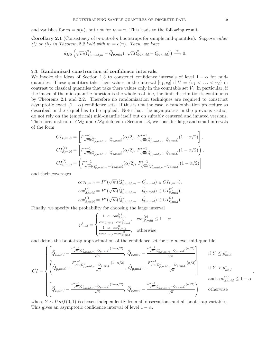and vanishes for  $m = o(n)$ , but not for  $m = n$ . This leads to the following result.

Corollary 2.1 (Consistency of m-out-of-n bootstraps for sample mid-quantiles). *Suppose either (i) or (ii) in Theorem 2.2 hold with*  $m = o(n)$ *. Then, we have* 

$$
d_{KS}\left(\sqrt{m}(\widehat{Q}^{*}_{p,mid,m}-\widehat{Q}_{p,mid}),\sqrt{n}(\widehat{Q}_{p,mid}-Q_{p,mid})\right)\stackrel{\mathcal{P}}{\longrightarrow} 0.
$$

#### 2.3. Randomized construction of confidence intervals.

We invoke the ideas of Section 1.3 to construct confidence intervals of level  $1 - \alpha$  for midquantiles. These quantities take their values in the interval  $[v_1,v_d]$  if  $V = \{v_1 < \ldots < v_d\}$  in contrast to classical quantiles that take there values only in the countable set  $V$ . In particular, if the image of the mid-quantile function is the whole real line, the limit distribution is continuous by Theorems 2.1 and 2.2. Therefore no randomization techniques are required to construct asymptotic exact  $(1 - \alpha)$  confidence sets. If this is not the case, a randomization procedure as described in the sequel has to be applied. Note that, the asymptotics in the previous section do not rely on the (empirical) mid-quantile itself but on suitably centered and inflated versions. Therefore, instead of  $CS_L$  and  $CS_S$  defined in Section 1.3, we consider large and small intervals of the form

$$
CI_{L, mid} = \left[ F^{*-1}_{\sqrt{m}(\hat{Q}_{p, mid, m}^* - \hat{Q}_{p, mid})} (\alpha/2), F^{*-1}_{\sqrt{m}(\hat{Q}_{p, mid, m}^* - \hat{Q}_{p, mid})} (1 - \alpha/2) \right],
$$
  
\n
$$
CI_{S, mid}^{(r)} = \left[ F^{*-1}_{\sqrt{m}(\hat{Q}_{p, mid, m}^* - \hat{Q}_{p, mid})} (\alpha/2), F^{*-1}_{\sqrt{m}(\hat{Q}_{p, mid, m}^* - \hat{Q}_{p, mid})} (1 - \alpha/2) \right),
$$
  
\n
$$
CI_{S, mid}^{(l)} = \left( F^{*-1}_{\sqrt{m}(\hat{Q}_{p, mid, m}^* - \hat{Q}_{p, mid})} (\alpha/2), F^{*-1}_{\sqrt{m}(\hat{Q}_{p, mid, m}^* - \hat{Q}_{p, mid})} (1 - \alpha/2) \right]
$$

and their coverages

$$
cov_{L,mid} = P^*(\sqrt{m}(\widehat{Q}_{p,mid,m}^* - \widehat{Q}_{p,mid}) \in CI_{L,mid}),
$$
  
\n
$$
cov_{S,mid}^{(r)} = P^*(\sqrt{m}(\widehat{Q}_{p,mid,m}^* - \widehat{Q}_{p,mid}) \in CI_{S,mid}^{(r)}),
$$
  
\n
$$
cov_{S,mid}^{(l)} = P^*(\sqrt{m}(\widehat{Q}_{p,mid,m}^* - \widehat{Q}_{p,mid}) \in CI_{S,mid}^{(l)}).
$$

Finally, we specify the probability for choosing the large interval

$$
p_{mid}^{*} = \begin{cases} \frac{1 - \alpha - cov_{S, mid}^{(r)}}{cov_{L, mid} - cov_{S, mid}^{(r)}}, & cov_{S, mid}^{(r)} \le 1 - \alpha\\ \frac{1 - \alpha - cov_{S, mid}^{(l)}}{cov_{L, mid} - cov_{S, mid}^{(l)}}, & \text{otherwise} \end{cases}
$$

and define the bootstrap approximation of the confidence set for the  $p$ -level mid-quantile

$$
CI = \begin{cases} \left[ \hat{Q}_{p,mid} - \frac{F_{\sqrt{m}(\hat{Q}_{p,mid,m}^{*} - \hat{Q}_{p,mid})}(1-\alpha/2)}{\sqrt{n}}, \ \hat{Q}_{p,mid} - \frac{F_{\sqrt{m}(\hat{Q}_{p,mid,m}^{*} - \hat{Q}_{p,mid})}^{*}(\alpha/2)}{\sqrt{n}} \right] & \text{if } Y \leq p_{mid}^{*} \\ \left( \hat{Q}_{p,mid} - \frac{F_{\sqrt{m}(\hat{Q}_{p,mid,m}^{*} - \hat{Q}_{p,mid})}(1-\alpha/2)}{\sqrt{n}}, \ \hat{Q}_{p,mid} - \frac{F_{\sqrt{m}(\hat{Q}_{p,mid,m}^{*} - \hat{Q}_{p,mid})}^{*}(\alpha/2)}{\sqrt{n}} \right] & \text{if } Y > p_{mid}^{*} \\ \left[ \hat{Q}_{p,mid} - \frac{F_{\sqrt{m}(\hat{Q}_{p,mid,m}^{*} - \hat{Q}_{p,mid})}(1-\alpha/2)}{\sqrt{n}}, \ \hat{Q}_{p,mid} - \frac{F_{\sqrt{m}(\hat{Q}_{p,mid,m}^{*} - \hat{Q}_{p,mid})}^{*}(\alpha/2)}{\sqrt{n}} \right] & \text{and } cov_{S,mid}^{(r)} \leq 1 - \alpha \\ \left[ \hat{Q}_{p,mid} - \frac{F_{\sqrt{m}(\hat{Q}_{p,mid,m}^{*} - \hat{Q}_{p,mid})}(1-\alpha/2)}{\sqrt{n}}, \ \hat{Q}_{p,mid} - \frac{F_{\sqrt{m}(\hat{Q}_{p,mid,m}^{*} - \hat{Q}_{p,mid})}(\alpha/2)}{\sqrt{n}} \right) & \text{otherwise} \end{cases}
$$

where  $Y \sim Unif(0, 1)$  is chosen independently from all observations and all bootstrap variables. This gives an asymptotic confidence interval of level  $1 - \alpha$ .

,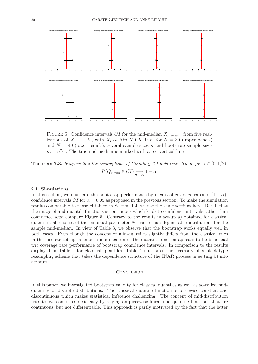

FIGURE 5. Confidence intervals CI for the mid-median  $X_{med, mid}$  from five realizations of  $X_1, \ldots, X_n$  with  $X_i \sim Bin(N, 0.5)$  i.i.d. for  $N = 39$  (upper panels) and  $N = 40$  (lower panels), several sample sizes n and bootstrap sample sizes  $m = n^{2/3}$ . The true mid-median is marked with a red vertical line.

**Theorem 2.3.** *Suppose that the assumptions of Corollary 2.1 hold true. Then, for*  $\alpha \in (0, 1/2)$ *,*  $P(Q_{p,mid} \in CI) \longrightarrow_{n \to \infty} 1 - \alpha.$ 

#### 2.4. Simulations.

In this section, we illustrate the bootstrap performance by means of coverage rates of  $(1 - \alpha)$ confidence intervals CI for  $\alpha = 0.05$  as proposed in the previous section. To make the simulation results comparable to those obtained in Section 1.4, we use the same settings here. Recall that the image of mid-quantile functions is continuous which leads to confidence intervals rather than confidence sets; compare Figure 5. Contrary to the results in set-up a) obtained for classical quantiles, all choices of the binomial parameter  $N$  lead to non-degenerate distributions for the sample mid-median. In view of Table 3, we observe that the bootstrap works equally well in both cases. Even though the concept of mid-quantiles slightly differs from the classical ones in the discrete set-up, a smooth modification of the quantile function appears to be beneficial wrt coverage rate performance of bootstrap confidence intervals. In comparison to the results displayed in Table 2 for classical quantiles, Table 4 illustrates the necessity of a block-type resampling scheme that takes the dependence structure of the INAR process in setting b) into account.

#### **CONCLUSION**

In this paper, we investigated bootstrap validity for classical quantiles as well as so-called midquantiles of discrete distributions. The classical quantile function is piecewise constant and discontinuous which makes statistical inference challenging. The concept of mid-distribution tries to overcome this deficiency by relying on piecewise linear mid-quantile functions that are continuous, but not differentiable. This approach is partly motivated by the fact that the latter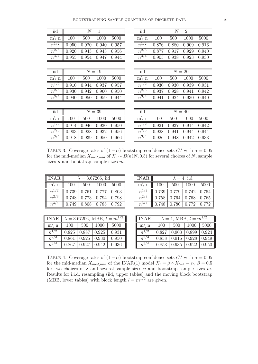| iid                         | $N=1$ |       |                    |       |
|-----------------------------|-------|-------|--------------------|-------|
| $m\setminus$<br>$\mathbf n$ | 100   | 500   | 1000               | 5000  |
|                             | 0.950 | 0.920 | 0.940              | 0.957 |
| $n^{2/3}$                   | 0.920 |       | $0.943 \mid 0.943$ | 0.956 |
|                             | 0.955 | 0.954 | 0.947              | 0.944 |

| iid       | $N=19$ |       |       |       |
|-----------|--------|-------|-------|-------|
| m<br>n    | 100    | 500   | 1000  | 5000  |
| $n^{1/2}$ | 0.910  | 0.944 | 0.937 | 0.957 |
| $n^{2/3}$ | 0.930  | 0.942 | 0.960 | 0.950 |
| $n^{3/4}$ | 0.940  | 0.950 | 0.959 | 0.944 |

| iid                     | $V = 2$ |       |       |       |
|-------------------------|---------|-------|-------|-------|
| $m \nightharpoonup n$ I | 100     | 500   | 1000  | 5000  |
| $n^{1/2}$               | 0.876   | 0.880 | 0.909 | 0.916 |
| $n^{2/3}$               | 0.877   | 0.917 | 0.929 | 0.940 |
| $n^{3/4}$               | 0.905   | 0.938 | 0.923 | 0.930 |

| iid              | $N=20$ |       |       |       |
|------------------|--------|-------|-------|-------|
| m<br>$\mathbf n$ | 100    | 500   | 1000  | 5000  |
| $n^{1/2}$        | 0.930  | 0.930 | 0.939 | 0.931 |
| $n^{2/\bar{3}}$  | 0.937  | 0.928 | 0.941 | 0.942 |
| $n^{3/4}$        | 0.941  | 0.924 | 0.930 | 0.940 |

| iid              | $N=39$ |       |       |       |
|------------------|--------|-------|-------|-------|
| m<br>$\mathbf n$ | 100    | 500   | 1000  | 5000  |
| $n^{1/\bar{2}}$  | 0.914  | 0.946 | 0.930 | 0.950 |
| $n^{2/3}$        | 0.903  | 0.928 | 0.932 | 0.956 |
| $n^{3/4}$        | 0.918  | 0.939 | 0.950 | 0.966 |

| iid              | $N = 40$ |       |       |       |
|------------------|----------|-------|-------|-------|
| m<br>$\mathbf n$ | 100      | 500   | 1000  | 5000  |
| $n^{1/2}$        | 0.921    | 0.937 | 0.914 | 0.942 |
| $n^{2/3}$        | 0.928    | 0.941 | 0.944 | 0.944 |
|                  | 0.926    | 0.948 | 0.942 | 0.933 |

TABLE 3. Coverage rates of  $(1 - \alpha)$ -bootstrap confidence sets CI with  $\alpha = 0.05$ for the mid-median  $X_{med,mid}$  of  $X_i \sim Bin(N, 0.5)$  for several choices of N, sample sizes  $n$  and bootstrap sample sizes  $m$ .

| <b>INAR</b>     | $\lambda = 3.67206$ , iid |                    |       |       |
|-----------------|---------------------------|--------------------|-------|-------|
| $m \setminus n$ | 100                       | 500                | 1000  | 5000  |
|                 |                           | $0.739 \mid 0.761$ | 0.777 | 0.803 |
| $n^{2/3}$       | 0.748                     | 0.773              | 0.794 | 0.798 |
|                 | 0.749                     | 0.808              | 0.785 | 0.792 |

| <b>INAR</b> | $\lambda = 4$ , iid |       |       |       |
|-------------|---------------------|-------|-------|-------|
| m           | 100                 | 500   | 1000  | 5000  |
|             | 0.739               | 0.779 | 0.742 | 0.754 |
|             | 0.758               | 0.764 | 0.768 | 0.765 |
|             | 0.748               | 0.780 | 0.772 | 0.772 |
|             |                     |       |       |       |

╧╝

| <b>INAR</b> | $\lambda = 3.67206$ , MBB, $l = m^{1/2}$ |       |       |       |
|-------------|------------------------------------------|-------|-------|-------|
| m<br>n      | 100                                      | 500   | 1000  | 5000  |
| $n^{1/2}$   | 0.825                                    | 0.887 | 0.925 | 0.931 |
| $n^{2/3}$   | 0.861                                    | 0.925 | 0.930 | 0.950 |
| $n^{3/2}$   | 0.867                                    | 0.927 | 0.942 | 0.936 |

| <b>INAR</b>           | $\lambda = 4$ , MBB, $l = m^{1/2}$                 |         |                                          |  |
|-----------------------|----------------------------------------------------|---------|------------------------------------------|--|
| $m \nightharpoonup n$ | 100                                                | $500\,$ | $1000 \mid 5000$                         |  |
|                       |                                                    |         | $0.827 \mid 0.903 \mid 0.899 \mid 0.924$ |  |
| $n^{2/3}$             | $\mid 0.858 \mid 0.916 \mid 0.928 \mid 0.949$      |         |                                          |  |
|                       | $\mid 0.853 \mid 0.935 \mid 0.922 \mid 0.950 \mid$ |         |                                          |  |

TABLE 4. Coverage rates of  $(1 - \alpha)$ -bootstrap confidence sets CI with  $\alpha = 0.05$ for the mid-median  $X_{med, mid}$  of the INAR(1) model  $X_t = \beta \circ X_{t-1} + \epsilon_t$ ,  $\beta = 0.5$ for two choices of  $\lambda$  and several sample sizes n and bootstrap sample sizes m. Results for i.i.d. resampling (iid, upper tables) and the moving block bootstrap (MBB, lower tables) with block length  $l = m^{1/2}$  are given.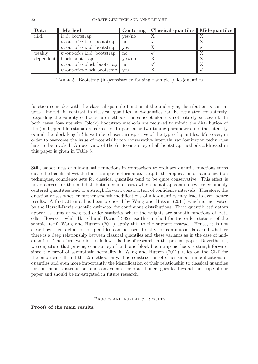| $\parallel$ Data | Method                               |              | Centering    Classical quantiles    Mid-quantiles |           |
|------------------|--------------------------------------|--------------|---------------------------------------------------|-----------|
| $\vert$ i.i.d.   | i.i.d. bootstrap                     | ves/no       | Χ                                                 |           |
|                  | $m$ -out-of-n i.i.d. bootstrap       | $\mathbf{n}$ |                                                   |           |
|                  | $m$ -out-of-n i.i.d. bootstrap       | <b>ves</b>   | Λ                                                 |           |
| weakly           | $m$ -out-of- $n$ i.i.d. bootstrap    | $\mathbf{n}$ |                                                   |           |
|                  | dependent block bootstrap            | ves/no       | Λ                                                 |           |
|                  | $m$ -out-of-n-block bootstrap        | l no         |                                                   | $\Lambda$ |
|                  | $m$ -out-of-n-block bootstrap    yes |              |                                                   |           |

Table 5. Bootstrap (in-)consistency for single sample (mid-)quantiles

function coincides with the classical quantile function if the underlying distribution is continuous. Indeed, in contrast to classical quantiles, mid-quantiles can be estimated consistently. Regarding the validity of bootstrap methods this concept alone is not entirely successful. In both cases, low-intensity (block) bootstrap methods are required to mimic the distribution of the (mid-)quantile estimators correctly. In particular two tuning parameters, i.e. the intensity  $m$  and the block length  $l$  have to be chosen, irrespective of the type of quantiles. Moreover, in order to overcome the issue of potentially too conservative intervals, randomization techniques have to be invoked. An overview of the (in-)consistency of all bootstrap methods addressed in this paper is given in Table 5.

Still, smoothness of mid-quantile functions in comparison to ordinary quantile functions turns out to be beneficial wrt the finite sample performance. Despite the application of randomization techniques, confidence sets for classical quantiles tend to be quite conservative. This effect is not observed for the mid-distribution counterparts where bootstrap consistency for commonly centered quantities lead to a straightforward construction of confidence intervals. Therefore, the question arises whether further smooth modifications of mid-quantiles may lead to even better results. A first attempt has been proposed by Wang and Hutson (2011) which is motivated by the Harrell-Davis quantile estimator for continuous distributions. These quantile estimators appear as sums of weighted order statistics where the weights are smooth functions of Beta cdfs. However, while Harrell and Davis (1982) use this method for the order statistic of the sample itself, Wang and Hutson (2011) apply this to the support instead. Hence, it is not clear how their definition of quantiles can be used directly for continuous data and whether there is a deep relationship between classical quantiles and these variants as in the case of midquantiles. Therefore, we did not follow this line of research in the present paper. Nevertheless, we conjecture that proving consistency of i.i.d. and block bootstrap methods is straightforward since the proof of asymptotic normality in Wang and Hutson (2011) relies on the CLT for the empirical cdf and the ∆-method only. The construction of other smooth modifications of quantiles and even more importantly the identification of their relationship to classical quantiles for continuous distributions and convenience for practitioners goes far beyond the scope of our paper and should be investigated in future research.

#### PROOFS AND AUXILIARY RESULTS

Proofs of the main results.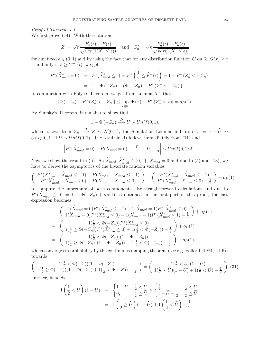*Proof of Theorem 1.1.* We first prove (14). With the notation

$$
Z_n = \sqrt{n} \frac{\widehat{F}_n(\epsilon) - F(\epsilon)}{\sqrt{var(1(X_1 \le \epsilon))}} \quad \text{and} \quad Z_n^* = \sqrt{n} \frac{\widehat{F}_n^*(\epsilon) - \widehat{F}_n(\epsilon)}{\sqrt{var(1(X_1 \le \epsilon))}}
$$

for any fixed  $\epsilon \in (0,1)$  and by using the fact that for any distribution function G on R,  $G(x) \ge t$ if and only if  $x \geq G^{-1}(t)$ , we get

$$
P^*(\widehat{X}_{med}^* = 0) = P^*(\widehat{X}_{med}^* \le \epsilon) = P^* \left(\frac{1}{2} \le \widehat{F}_n^*(\epsilon)\right) = 1 - P^* (Z_n^* < -Z_n)
$$

$$
= 1 - \Phi(-Z_n) + \left(\Phi(-Z_n) - P^* (Z_n^* < -Z_n)\right)
$$

In conjunction with Polya's Theorem, we get from Lemma A.1 that

$$
|\Phi(-Z_n) - P^*(Z_n^* < -Z_n)| \le \sup_{x \in \mathbb{R}} |\Phi(x) - P^*(Z_n^* < x)| = o_P(1).
$$

By Slutsky's Theorem, it remains to show that

$$
1 - \Phi(-Z_n) \xrightarrow{\mathcal{D}} U \sim Unif(0,1),
$$

which follows from  $Z_n \longrightarrow Z \sim \mathcal{N}(0,1)$ , the Simulation Lemma and from  $U := 1 - \tilde{U} \sim$ Unif(0, 1) if  $\tilde{U} \sim Unif(0, 1)$ . The result in (i) follows immediately from (11) and

$$
\left| P^*(\widehat{X}_{med}^* = 0) - P(\widehat{X}_{med} = 0) \right| \xrightarrow{\mathcal{D}} \left| U - \frac{1}{2} \right| \sim Unif(0, 1/2).
$$

Now, we show the result in (ii). As  $X_{med}$ ,  $X_{med}^* \in \{0, 1\}$ ,  $X_{med} = 0$  and due to (5) and (13), we have to derive the asymptotics of the bivariate random variables

$$
\begin{pmatrix} P^*(\widehat{X}_{med}^* - \widehat{X}_{med} \le -1) - P(\widehat{X}_{med} - X_{med} \le -1) \\ P^*(\widehat{X}_{med}^* - \widehat{X}_{med} \le 0) - P(\widehat{X}_{med} - X_{med} \le 0) \end{pmatrix} = \begin{pmatrix} P^*(\widehat{X}_{med}^* - \widehat{X}_{med} \le -1) \\ P^*(\widehat{X}_{med}^* - \widehat{X}_{med} \le 0) - \frac{1}{2} \end{pmatrix} + op(1)
$$

to compute the supremum of both components. By straightforward calculations and due to  $P^*(X^*_{med} \leq 0) = 1 - \Phi(-Z_n) + op(1)$  as obtained in the first part of this proof, the last expression becomes

$$
\begin{aligned}\n&\left( \begin{array}{c} 1(\widehat{X}_{med}=0)P^*(\widehat{X}_{med}^* \leq -1) + 1(\widehat{X}_{med}=1)P^*(\widehat{X}_{med}^* \leq 0) \\
1(\widehat{X}_{med}=0)P^*(\widehat{X}_{med}^* \leq 0) + 1(\widehat{X}_{med}=1)P^*(\widehat{X}_{med}^* \leq 1) - \frac{1}{2} \end{array} \right) + op(1) \\
&= \left( \begin{array}{c} 1(\frac{1}{2} < \Phi(-Z_n))P^*(\widehat{X}_{med}^* \leq 0) \\
1(\frac{1}{2} > \Phi(-Z_n))P^*(\widehat{X}_{med}^* \leq 0) + 1(\frac{1}{2} < \Phi(-Z_n)) - \frac{1}{2} \end{array} \right) + op(1) \\
&= \left( \begin{array}{c} 1(\frac{1}{2} < \Phi(-Z_n))(1 - \Phi(-Z_n)) \\
1(\frac{1}{2} > \Phi(-Z_n))(1 - \Phi(-Z_n)) + 1(\frac{1}{2} < \Phi(-Z_n)) - \frac{1}{2} \end{array} \right) + op(1),\n\end{aligned}
$$

which converges in probability by the continuous mapping theorem (see e.g. Pollard (1984, III.6)) towards

$$
\begin{pmatrix} 1(\frac{1}{2} < \Phi(-Z))(1 - \Phi(-Z)) & 1(\frac{1}{2} < \widetilde{U})(1 - \widetilde{U}) \\ 1(\frac{1}{2} \ge \Phi(-Z))(1 - \Phi(-Z)) + 1(\frac{1}{2} < \Phi(-Z)) - \frac{1}{2} \end{pmatrix} = \begin{pmatrix} 1(\frac{1}{2} < \widetilde{U})(1 - \widetilde{U}) & 1(\frac{1}{2} < \widetilde{U}) - \frac{1}{2} \end{pmatrix} . (31)
$$

Further, it holds

$$
1\left(\frac{1}{2} < \widetilde{U}\right)(1-\widetilde{U}) = \begin{cases} 1-\widetilde{U}, & \frac{1}{2} < \widetilde{U} \\ 0, & \frac{1}{2} \ge \widetilde{U} \end{cases} \le \begin{cases} \frac{1}{2}, & \frac{1}{2} < \widetilde{U} \\ 1-\widetilde{U} - \frac{1}{2}, & \frac{1}{2} \ge \widetilde{U} \end{cases}
$$
\n
$$
= 1\left(\frac{1}{2} \ge \widetilde{U}\right)(1-\widetilde{U}) + 1\left(\frac{1}{2} < \widetilde{U}\right) - \frac{1}{2}
$$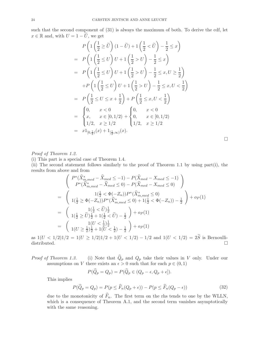such that the second component of (31) is always the maximum of both. To derive the cdf, let  $x \in \mathbb{R}$  and, with  $U = 1 - U$ , we get

$$
P\left(1\left(\frac{1}{2} \geq \tilde{U}\right)(1-\tilde{U})+1\left(\frac{1}{2} < \tilde{U}\right)-\frac{1}{2} \leq x\right)
$$
  
=  $P\left(1\left(\frac{1}{2} \leq U\right)U+1\left(\frac{1}{2} > U\right)-\frac{1}{2} \leq x\right)$   
=  $P\left(1\left(\frac{1}{2} \leq U\right)U+1\left(\frac{1}{2} > U\right)-\frac{1}{2} \leq x, U \geq \frac{1}{2}\right)$   
+ $P\left(1\left(\frac{1}{2} \leq U\right)U+1\left(\frac{1}{2} > U\right)-\frac{1}{2} \leq x, U < \frac{1}{2}\right)$   
=  $P\left(\frac{1}{2} \leq U \leq x+\frac{1}{2}\right)+P\left(\frac{1}{2} \leq x, U < \frac{1}{2}\right)$   
=  $\begin{cases} 0, & x < 0 \\ x, & x \in [0, 1/2) + \begin{cases} 0, & x < 0 \\ 0, & x \in [0, 1/2) \\ 1/2, & x \geq 1/2 \end{cases} & x \geq 1/2 \\ x\left(1/2, & x \geq 1/2\right) & x \geq 1/2 \end{cases}$ 

 $\Box$ 

# *Proof of Theorem 1.2.*

(i) This part is a special case of Theorem 1.4.

(ii) The second statement follows similarly to the proof of Theorem 1.1 by using part(i), the results from above and from

$$
\begin{pmatrix}\nP^*(\widehat{X}_{m,med}^* - \widehat{X}_{med} \le -1) - P(\widehat{X}_{med} - X_{med} \le -1) \\
P^*(\widehat{X}_{m,med}^* - \widehat{X}_{med} \le 0) - P(\widehat{X}_{med} - X_{med} \le 0) \\
= \left( \begin{array}{c}\n1(\frac{1}{2} < \Phi(-Z_n))P^*(\widehat{X}_{m,med}^* \le 0) \\
1(\frac{1}{2} > \Phi(-Z_n))P^*(\widehat{X}_{m,med}^* \le 0) + 1(\frac{1}{2} < \Phi(-Z_n)) - \frac{1}{2}\n\end{array} \right) + op(1) \\
= \left( \begin{array}{c}\n1(\frac{1}{2} < \widetilde{U})\frac{1}{2} \\
1(\frac{1}{2} > \widetilde{U})\frac{1}{2} + 1(\frac{1}{2} < \widetilde{U}) - \frac{1}{2}\n\end{array} \right) + op(1) \\
= \left( \begin{array}{c}\n1(U < \frac{1}{2})\frac{1}{2} \\
1(U > \frac{1}{2})\frac{1}{2} + 1(U < \frac{1}{2}) - \frac{1}{2}\n\end{array} \right) + op(1)
$$

as  $1(U < 1/2)1/2 = 1(U \ge 1/2)1/2 + 1(U < 1/2) - 1/2$  and  $1(U < 1/2) = 2\tilde{S}$  is Bernoulli-distributed. distributed.

*Proof of Theorem 1.3.* (i) Note that  $Q_p$  and  $Q_p$  take their values in V only. Under our assumptions on V there exists an  $\epsilon > 0$  such that for each  $p \in (0, 1)$ 

$$
P(\widehat{Q}_p = Q_p) = P(\widehat{Q}_p \in (Q_p - \epsilon, Q_p + \epsilon]).
$$

This implies

$$
P(\widehat{Q}_p = Q_p) = P(p \le \widehat{F}_n(Q_p + \epsilon)) - P(p \le \widehat{F}_n(Q_p - \epsilon))
$$
\n(32)

due to the monotonicity of  $\widehat{F}_n$ . The first term on the rhs tends to one by the WLLN, which is a consequence of Theorem A.1, and the second term vanishes asymptotically with the same reasoning.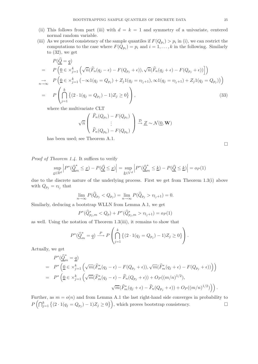- (ii) This follows from part (iii) with  $d = k = 1$  and symmetry of a univariate, centered normal random variable.
- (iii) As we proved consistency of the sample quantiles if  $F(Q_{p_i}) > p_i$  in (i), we can restrict the computations to the case where  $F(Q_{p_i}) = p_i$  and  $i = 1, \ldots, k$  in the following. Similarly to  $(32)$ , we get

$$
P(\underline{Q} = \underline{q})
$$
  
=  $P\left(\underline{0} \in \times_{j=1}^{k} \left(\sqrt{n}(\widehat{F}_n(q_j - \epsilon) - F(Q_{p_j} + \epsilon)), \sqrt{n}(\widehat{F}_n(q_j + \epsilon) - F(Q_{p_j} + \epsilon))\right]\right)$   

$$
\Rightarrow P\left(\underline{0} \in \times_{j=1}^{k} \left(-\infty \mathbb{1}(q_j = Q_{p_j}) + Z_j \mathbb{1}(q_j = v_{l_j+1}), \infty \mathbb{1}(q_j = v_{l_j+1}) + Z_j \mathbb{1}(q_j = Q_{p_j})\right)\right)
$$
  
=  $P\left(\bigcap_{j=1}^{k} \left\{(2 \cdot \mathbb{1}(q_j = Q_{p_j}) - 1)Z_j \ge 0\right\}\right),$  (33)

where the multivariate CLT

$$
\sqrt{n}\left(\begin{array}{c}\widehat{F}_n(Q_{p_1}) - F(Q_{p_1}) \\ \vdots \\ \widehat{F}_n(Q_{p_k}) - F(Q_{p_k})\end{array}\right) \stackrel{\mathcal{D}}{\rightarrow} \underline{Z} \sim \mathcal{N}(\underline{0}, \mathbf{W})
$$

has been used; see Theorem A.1.

*Proof of Theorem 1.4.* It suffices to verify

$$
\sup_{\underline{x}\in\mathbb{R}^d}\Big|P^*(\widehat{\underline{Q}}_m^*\leq \underline{x})-P(\widehat{\underline{Q}}\leq \underline{x})\Big|=\sup_{\underline{k}\in V^d}\Big|P^*(\widehat{\underline{Q}}_m^*\leq \underline{k})-P(\widehat{\underline{Q}}\leq \underline{k})\Big|=o_P(1)
$$

due to the discrete nature of the underlying process. First we get from Theorem 1.3(i) above with  $Q_{p_j} = v_{l_j}$  that

$$
\lim_{n \to \infty} P(\hat{Q}_{p_j} < Q_{p_j}) = \lim_{n \to \infty} P(\hat{Q}_{p_j} > v_{l_j+1}) = 0.
$$

Similarly, deducing a bootstrap WLLN from Lemma A.1, we get

$$
P^*(\widehat{Q}_{p_j,m}^* < Q_p) + P^*(\widehat{Q}_{p_j,m}^* > v_{l_j+1}) = o_P(1)
$$

as well. Using the notation of Theorem 1.3(iii), it remains to show that

$$
P^*(\widehat{\underline{Q}}_m^* = \underline{q}) \stackrel{P}{\longrightarrow} P\left(\bigcap_{j=1}^k \left\{ (2 \cdot 1(q_j = Q_{p_j}) - 1)Z_j \ge 0 \right\} \right).
$$

Actually, we get

$$
P^*(\widehat{\underline{Q}}_m^* = \underline{q})
$$
  
= 
$$
P^*\left(\underline{0} \in \times_{j=1}^k \left(\sqrt{m}(\widehat{F}_m^*(q_j - \epsilon) - F(Q_{p_j} + \epsilon)), \sqrt{m}(\widehat{F}_m^*(q_j + \epsilon) - F(Q_{p_j} + \epsilon))\right)\right)
$$
  
= 
$$
P^*\left(\underline{0} \in \times_{j=1}^k \left(\sqrt{m}(\widehat{F}_m^*(q_j - \epsilon) - \widehat{F}_n(Q_{p_j} + \epsilon)) + O_P((m/n)^{1/2}), \sqrt{m}(\widehat{F}_m^*(q_j + \epsilon) - \widehat{F}_n(Q_{p_j} + \epsilon)) + O_P((m/n)^{1/2})\right)\right).
$$

Further, as  $m = o(n)$  and from Lemma A.1 the last right-hand side converges in probability to  $P\left(\bigcap_{j=1}^k \left\{(2 \cdot 1(q_j = Q_{p_j}) - 1)Z_j \ge 0\right\}\right)$ , which proves bootstrap consistency.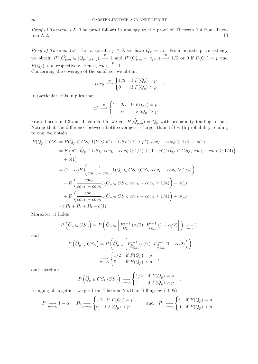*Proof of Theorem 1.5.* The proof follows in analogy to the proof of Theorem 1.4 from Theorem A.2.

*Proof of Theorem 1.6.* For a specific  $j \in \mathbb{Z}$  we have  $Q_p = v_j$ . From bootstrap consistency we obtain  $P^*(\hat{Q}_{p,m}^*\in [Q_p,v_{j+1}]) \longrightarrow 1$  and  $P^*(\hat{Q}_{p,m}^*=v_{j+1}) \longrightarrow 1/2$  or 0 if  $F(Q_p)=p$  and  $F(Q_p) > p$ , respectively. Hence,  $cov_L \stackrel{P}{\longrightarrow} 1$ .

Concerning the coverage of the small set we obtain

$$
cov_S \xrightarrow{\mathcal{P}} \begin{cases} 1/2 & \text{if } F(Q_p) = p \\ 0 & \text{if } F(Q_p) > p \end{cases}
$$

.

.

.

In particular, this implies that

$$
p^* \xrightarrow{\mathcal{P}} \begin{cases} 1 - 2\alpha & \text{if } F(Q_p) = p \\ 1 - \alpha & \text{if } F(Q_p) > p \end{cases}
$$

From Theorem 1.3 and Theorem 1.5, we get  $H(Q_{p,m}^*) = Q_p$  with probability tending to one. Noting that the difference between both coverages is larger than 1/4 with probability tending to one, we obtain

$$
P(Q_p \in CS) = P(\hat{Q}_p \in CS_L 1(Y \le p^*) + CS_S 1(Y > p^*), cov_L - cov_S \ge 1/4) + o(1)
$$
  
=  $E\left(p^*1(\hat{Q}_p \in CS_L, cov_L - cov_S \ge 1/4) + (1 - p^*)1(\hat{Q}_p \in CS_S, cov_L - cov_S \ge 1/4)\right)$   
+  $o(1)$   
=  $(1 - \alpha)E\left(\frac{1}{cov_L - cov_S}1(\hat{Q}_p \in CS_L \setminus CS_S, cov_L - cov_S \ge 1/4)\right)$   
 $- E\left(\frac{cov_S}{cov_L - cov_S}1(\hat{Q}_p \in CS_L, cov_L - cov_S \ge 1/4)\right) + o(1)$   
+  $E\left(\frac{cov_L}{cov_L - cov_S}1(\hat{Q}_p \in CS_S, cov_L - cov_S \ge 1/4)\right) + o(1)$   
=:  $P_1 + P_2 + P_3 + o(1)$ .

Moreover, it holds

$$
P\left(\widehat{Q}_p \in CS_L\right) = P\left(\widehat{Q}_p \in \left[F_{\widehat{Q}_{p,m}^{*}}^{*-1}(\alpha/2), F_{\widehat{Q}_{p,m}^{*}}^{*-1}(1-\alpha/2)\right]\right) \underset{n \to \infty}{\longrightarrow} 1,
$$

and

$$
P\left(\widehat{Q}_p \in CS_S\right) = P\left(\widehat{Q}_p \in \left[F_{\widehat{Q}_{p,m}^*}^{*-1}(\alpha/2), F_{\widehat{Q}_{p,m}^*}^{*-1}(1-\alpha/2)\right)\right)
$$

$$
\longrightarrow \left\{\begin{array}{ll} 1/2 & \text{if } F(Q_p) = p\\ 0 & \text{if } F(Q_p) > p \end{array}\right\},
$$

and therefore

$$
P\left(\widehat{Q}_p \in CS_L \backslash CS_S\right) \underset{n \to \infty}{\longrightarrow} \begin{cases} 1/2 & \text{if } F(Q_p) = p \\ 1 & \text{if } F(Q_p) > p \end{cases}
$$

Bringing all together, we get from Theorem 25.11 in Billingsley (1995)

$$
P_1 \underset{n \to \infty}{\longrightarrow} 1 - \alpha, \quad P_2 \underset{n \to \infty}{\longrightarrow} \begin{cases} -1 & \text{if } F(Q_p) = p \\ 0 & \text{if } F(Q_p) > p \end{cases}, \quad \text{and} \quad P_3 \underset{n \to \infty}{\longrightarrow} \begin{cases} 1 & \text{if } F(Q_p) = p \\ 0 & \text{if } F(Q_p) > p \end{cases}
$$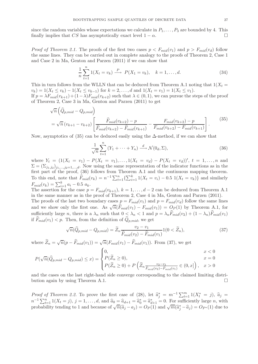since the random variables whose expectations we calculate in  $P_1, \ldots, P_3$  are bounded by 4. This finally implies that CS has asymptotically exact level  $1 - \alpha$ .

*Proof of Theorem 2.1.* The proofs of the first two cases  $p < F_{mid}(v_1)$  and  $p > F_{mid}(v_d)$  follow the same lines. They can be carried out in complete analogy to the proofs of Theorem 2, Case 1 and Case 2 in Ma, Genton and Parzen (2011) if we can show that

$$
\frac{1}{n}\sum_{t=1}^{n}1(X_{t}=v_{k}) \xrightarrow{P} P(X_{1}=v_{k}), \quad k=1,\ldots,d.
$$
\n(34)

This in turn follows from the WLLN that can be deduced from Theorem A.1 noting that  $1(X_t =$  $v_k$ ) = 1( $X_t \le v_k$ ) – 1( $X_t \le v_{k-1}$ ) for  $k = 2, ..., d$  and  $1(X_t = v_1) = 1(X_t \le v_1)$ .

If  $p = \lambda F_{mid}(v_{k+1}) + (1-\lambda)F_{mid}(v_{k+2})$  such that  $\lambda \in (0,1)$ , we can pursue the steps of the proof of Theorem 2, Case 3 in Ma, Genton and Parzen (2011) to get

$$
\sqrt{n} \left( \hat{Q}_{p, mid} - Q_{p, mid} \right)
$$
  
=  $\sqrt{n} (v_{k+1} - v_{k+2}) \left[ \frac{\hat{F}_{mid}(v_{k+2}) - p}{\hat{F}_{mid}(v_{k+2}) - \hat{F}_{mid}(v_{k+1})} - \frac{F_{mid}(v_{k+2}) - p}{F_{mid}(v_{k+2}) - F_{mid}(v_{k+1})} \right].$  (35)

Now, asymptotics of (35) can be deduced easily using the Δ-method, if we can show that

$$
\frac{1}{\sqrt{n}} \sum_{t=1}^{n} (Y_1 + \dots + Y_n) \xrightarrow{d} \mathcal{N}(0_d, \Sigma), \tag{36}
$$

where  $Y_t = (1(X_t = v_1) - P(X_t = v_1), \ldots, 1(X_t = v_d) - P(X_t = v_d))', t = 1, \ldots, n$  and  $\Sigma = (\Sigma_{j_1,j_2})_{j_1,\dots,j_2=1,\dots,d}$ . Now using the same representation of the indicator functions as in the first part of the proof, (36) follows from Theorem A.1 and the continuous mapping theorem. To this end, note that  $\widehat{F}_{mid}(v_k) = n^{-1} \sum_{t=1}^n \left\{ \sum_{i=1}^k 1(X_t = v_i) - 0.5 \right\}$  and similarly  $F_{mid}(v_k) = \sum_{i=1}^{k} a_i - 0.5 a_k.$ 

The assertion for the case  $p = F_{mid}(v_{k+1}), k = 1, \ldots, d-2$  can be deduced from Theorem A.1 in the same manner as in the proof of Theorem 2, Case 4 in Ma, Genton and Parzen (2011).

The proofs of the last two boundary cases  $p = F_{mid}(v_1)$  and  $p = F_{mid}(v_d)$  follow the same lines and we show only the first one. As  $\sqrt{n}(\hat{F}_{mid}(v_1) - F_{mid}(v_1)) = O_P(1)$  by Theorem A.1, for sufficiently large n, there is a  $\lambda_n$  such that  $0 < \lambda_n < 1$  and  $p = \lambda_n \widehat{F}_{mid}(v_2) + (1 - \lambda_n) \widehat{F}_{mid}(v_1)$ if  $F_{mid}(v_1) < p$ . Then, from the definition of  $Q_{p,mid}$ , we get

$$
\sqrt{n}(\widehat{Q}_{p,mid} - Q_{p,mid}) = \widetilde{Z}_n \frac{v_2 - v_1}{\widehat{F}_{mid}(v_2) - \widehat{F}_{mid}(v_1)} 1(0 < \widetilde{Z}_n),\tag{37}
$$

where  $\widetilde{Z}_n = \sqrt{n}(p - \widehat{F}_{mid}(v_1)) = \sqrt{n}(F_{mid}(v_1) - \widehat{F}_{mid}(v_1)).$  From (37), we get

$$
P(\sqrt{n}(\widehat{Q}_{p,mid} - Q_{p,mid}) \le x) = \begin{cases} 0, & x < 0 \\ P(\widetilde{Z}_n \ge 0), & x = 0 \\ P(\widetilde{Z}_n \ge 0) + P(\widetilde{Z}_n \frac{v_2 - v_1}{\widehat{F}_{mid}(v_2) - \widehat{F}_{mid}(v_1)} \in (0, x]) \end{cases}, x > 0
$$

and the cases on the last right-hand side converge corresponding to the claimed limiting distribution again by using Theorem A.1.

*Proof of Theorem 2.2.* To prove the first case of (28), let  $\hat{a}_j^* = m^{-1} \sum_{t=1}^m 1(X_t^* = j)$ ,  $\hat{a}_j =$  $n^{-1}\sum_{t=1}^n 1(X_t = j), j = 1,\ldots,d$ , and  $\hat{a}_0 = \hat{a}_{d+1} = \hat{a}_0^* = \hat{a}_{d+1}^* = 0$ . For sufficiently large *n*, with probability tending to 1 and because of  $\sqrt{n}(\hat{a}_j - a_j) = O_P(1)$  and  $\sqrt{m}(\hat{a}_j^* - \hat{a}_j) = O_{P^*}(1)$  due to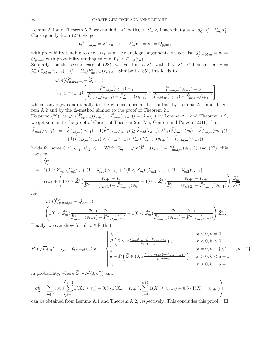Lemma A.1 and Theorem A.2, we can find a  $\lambda_m^*$  with  $0 < \lambda_m^* < 1$  such that  $p = \lambda_m^* \hat{a}_0^* + (1 - \lambda_m^*) \hat{a}_1^*$ .<br>Consequently from (27) are not Consequently from (27), we get

$$
\hat{Q}_{p,mid,m}^* = \lambda_m^* v_0 + (1 - \lambda_m^*) v_1 = v_1 = Q_{p,mid}
$$

with probability tending to one as  $v_0 = v_1$ . By analogue arguments, we get also  $Q_{p,mid,m}^* = v_d =$  $Q_{p,mid}$  with probability tending to one if  $p > F_{mid}(v_d)$ .

Similarly, for the second case of (28), we can find a  $\lambda_m^*$  with  $0 < \lambda_m^* < 1$  such that  $p =$  $\lambda_m^* F_{mid,m}^*(v_{k+1}) + (1 - \lambda_m^*) F_{mid,m}^*(v_{k+2})$ . Similar to (35), this leads to

$$
\sqrt{m}(\hat{Q}_{p,mid,m}^{*} - \hat{Q}_{p,mid})
$$
\n
$$
= (v_{k+1} - v_{k+2}) \left[ \frac{\hat{F}_{mid,m}^{*}(v_{k+2}) - p}{\hat{F}_{mid,m}^{*}(v_{k+2}) - \hat{F}_{mid,m}^{*}(v_{k+1})} - \frac{\hat{F}_{mid,m}(v_{k+2}) - p}{\hat{F}_{mid,m}(v_{k+2}) - \hat{F}_{mid,m}(v_{k+1})} \right]
$$

which converges conditionally to the claimed normal distribution by Lemma A.1 and Theorem A.2 and by the  $\Delta$ -method similar to the proof of Theorem 2.1.

To prove (29), as  $\sqrt{m}(\widehat{F}_{mid,m}^*(v_{k+1}) - \widehat{F}_{mid}(v_{k+1})) = O_{P^*}(1)$  by Lemma A.1 and Theorem A.2, we get similar to the proof of Case 4 of Theorem 2 in Ma, Genton and Parzen (2011) that

$$
\widehat{F}_{mid}(v_{k+1}) = \widehat{F}_{mid,m}^*(v_{k+1}) + 1(\widehat{F}_{mid,m}^*(v_{k+1}) \ge \widehat{F}_{mid}(v_{k+1}))\lambda_{m1}^*(\widehat{F}_{mid,m}^*(v_k) - \widehat{F}_{mid,m}^*(v_{k+1})) \n+1(\widehat{F}_{mid,m}^*(v_{k+1}) < \widehat{F}_{mid}(v_{k+1}))\lambda_{m2}^*(\widehat{F}_{mid,m}^*(v_{k+2}) - \widehat{F}_{mid,m}^*(v_{k+1}))
$$

holds for some  $0 \leq \lambda_{m1}^*, \lambda_{m2}^* < 1$ . With  $\widetilde{Z}_m^* = \sqrt{m}(\widehat{F}_{mid}(v_{k+1}) - \widehat{F}_{mid,m}^*(v_{k+1}))$  and (27), this leads to

$$
Q_{p,mid,m}^{*}
$$
\n
$$
= 1(0 \geq \widetilde{Z}_{m}^{*}) \left\{ \lambda_{m1}^{*} v_{k} + (1 - \lambda_{m1}^{*}) v_{k+1} \right\} + 1(0 < \widetilde{Z}_{m}^{*}) \left\{ \lambda_{m2}^{*} v_{k+2} + (1 - \lambda_{m2}^{*}) v_{k+1} \right\}
$$
\n
$$
= v_{k+1} + \left( 1(0 \geq \widetilde{Z}_{m}^{*}) \frac{v_{k+1} - v_{k}}{\widehat{F}_{mid,m}^{*}(v_{k+1}) - \widehat{F}_{mid,m}^{*}(v_{k})} + 1(0 < \widetilde{Z}_{m}^{*}) \frac{v_{k+2} - v_{k+1}}{\widehat{F}_{mid,m}^{*}(v_{k+2}) - \widehat{F}_{mid,m}^{*}(v_{k+1})} \right) \frac{\widetilde{Z}_{m}^{*}}{\sqrt{m}}
$$

and

$$
\sqrt{m}(\widehat{Q}_{p,mid,m}^* - Q_{p,mid})
$$
\n
$$
= \left(1(0 \geq \widetilde{Z}_m^*) \frac{v_{k+1} - v_k}{\widehat{F}_{mid,m}^*(v_{k+1}) - \widehat{F}_{mid,m}^*(v_k)} + 1(0 < \widetilde{Z}_m^*) \frac{v_{k+2} - v_{k+1}}{\widehat{F}_{mid,m}^*(v_{k+2}) - \widehat{F}_{mid,m}^*(v_{k+1})}\right) \widetilde{Z}_m^*.
$$
\nwellly, we can show for all  $x \in \mathbb{R}$ , that

Finally, we can show for all  $x \in \mathbb{R}$  that

$$
P^*(\sqrt{m}(\hat{Q}_{p,mid,m}^* - Q_{p,mid}) \leq x) \to \begin{cases} 0, & x < 0, k = 0 \\ P\left(\tilde{Z} \leq x \frac{F_{mid}(v_{k+1}) - F_{mid}(v_k)}{v_{k+1} - v_k}\right), & x < 0, k > 0 \\ \frac{1}{2}, & x = 0, k \in \{0, 1, \dots, d-2\} \\ \frac{1}{2} + P\left(\tilde{Z} \in (0, x \frac{F_{mid}(v_{k+2}) - F_{mid}(v_{k+1})}{v_{k+2} - v_{k+1}}]\right), & x > 0, k < d-1 \\ 1, & x \geq 0, k = d-1 \end{cases}
$$

in probability, where  $\widetilde{Z} \sim \mathcal{N}(0, \sigma_{\widetilde{Z}}^2)$  and

$$
\sigma_{\widetilde{Z}}^2 = \sum_{h \in \mathbb{Z}} cov\left(\sum_{j=1}^{k+1} 1(X_h \le v_j) - 0.5 \cdot 1(X_h = v_{k+1}), \sum_{j=1}^{k+1} 1(X_0 \le v_{k+1}) - 0.5 \cdot 1(X_0 = v_{k+1})\right)
$$

can be obtained from Lemma A.1 and Theorem A.2, respectively. This concludes this proof.  $\Box$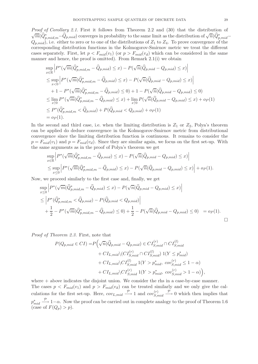*Proof of Corollary 2.1.* First it follows from Theorem 2.2 and (30) that the distribution of  $\sqrt{m}(\hat{Q}_{p,mid,m}^*-\widehat{Q}_{p,mid})$  converges in probability to the same limit as the distribution of  $\sqrt{n}(\widehat{Q}_{p,mid}^*-\widehat{Q}_{p,mid})$  $(Q_{p, mid})$ , i.e. either to zero or to one of the distributions of  $Z_1$  to  $Z_4$ . To prove convergence of the corresponding distribution functions in the Kolmogorov-Smirnov metric we treat the different cases separately. First, let  $p < F_{mid}(v_1)$  (or  $p > F_{mid}(v_d)$  which can be considered in the same manner and hence, the proof is omitted). From Remark 2.1(i) we obtain

$$
\sup_{x \in \mathbb{R}} \left| P^*(\sqrt{m}(\hat{Q}_{p,mid,m}^* - \hat{Q}_{p,mid}) \leq x) - P(\sqrt{n}(\hat{Q}_{p,mid} - Q_{p,mid}) \leq x) \right|
$$
  
\n
$$
\leq \sup_{x < 0} \left| P^*(\sqrt{m}(\hat{Q}_{p,mid,m}^* - \hat{Q}_{p,mid}) \leq x) - P(\sqrt{n}(\hat{Q}_{p,mid} - Q_{p,mid}) \leq x) \right|
$$
  
\n
$$
+ 1 - P^*(\sqrt{m}(\hat{Q}_{p,mid,m}^* - \hat{Q}_{p,mid}) \leq 0) + 1 - P(\sqrt{n}(\hat{Q}_{p,mid} - Q_{p,mid}) \leq 0)
$$
  
\n
$$
\leq \lim_{x \uparrow 0} P^*(\sqrt{m}(\hat{Q}_{p,mid,m}^* - \hat{Q}_{p,mid}) \leq x) + \lim_{x \uparrow 0} P(\sqrt{n}(\hat{Q}_{p,mid} - Q_{p,mid}) \leq x) + o_P(1)
$$
  
\n
$$
\leq P^*(\hat{Q}_{p,mid,m}^* < \hat{Q}_{p,mid}) + P(\hat{Q}_{p,mid} < Q_{p,mid}) + o_P(1)
$$
  
\n
$$
= o_P(1).
$$

In the second and third case, i.e. when the limiting distribution is  $Z_1$  or  $Z_2$ , Polya's theorem can be applied do deduce convergence in the Kolmogorov-Smirnov metric from distributional convergence since the limiting distribution function is continuous. It remains to consider the  $p = F_{mid}(v_1)$  and  $p = F_{mid}(v_d)$ . Since they are similar again, we focus on the first set-up. With the same arguments as in the proof of Polya's theorem we get

$$
\sup_{x \in \mathbb{R}} \left| P^*(\sqrt{m}(\widehat{Q}_{p,mid,m}^* - \widehat{Q}_{p,mid}) \le x) - P(\sqrt{n}(\widehat{Q}_{p,mid} - Q_{p,mid}) \le x) \right|
$$
  

$$
\le \sup_{x \le 0} \left| P^*(\sqrt{m}(\widehat{Q}_{p,mid,m}^* - \widehat{Q}_{p,mid}) \le x) - P(\sqrt{n}(\widehat{Q}_{p,mid} - Q_{p,mid}) \le x) \right| + op(1).
$$

Now, we proceed similarly to the first case and, finally, we get

$$
\sup_{x\leq 0} \left| P^*(\sqrt{m}(\hat{Q}_{p,mid,m}^* - \hat{Q}_{p,mid}) \leq x) - P(\sqrt{n}(\hat{Q}_{p,mid} - Q_{p,mid}) \leq x) \right|
$$
  
\n
$$
\leq \left| P^*(\hat{Q}_{p,mid,m}^* < \hat{Q}_{p,mid}) - P(\hat{Q}_{p,mid} < Q_{p,mid}) \right|
$$
  
\n
$$
+ \frac{1}{2} - P^*(\sqrt{m}(\hat{Q}_{p,mid,m}^* - \hat{Q}_{p,mid}) \leq 0) + \frac{1}{2} - P(\sqrt{n}(\hat{Q}_{p,mid} - Q_{p,mid}) \leq 0) = o_P(1).
$$

*Proof of Theorem 2.3.* First, note that

$$
P(Q_{p,mid} \in CI) = P\left(\sqrt{n}(\widehat{Q}_{p,mid} - Q_{p,mid}) \in CI_{S,mid}^{(r)} \cap CI_{S,mid}^{(l)} + CI_{L,mid} \setminus (CI_{S,mid}^{(r)} \cap CI_{S,mid}^{(l)}) \, 1(Y \le p^*_{mid}) + CI_{L,mid} \setminus CI_{S,mid}^{(l)} \, 1(Y > p^*_{mid}, \, cov_{S,mid}^{(r)} \le 1 - \alpha) + CI_{L,mid} \setminus CI_{S,mid}^{(r)} \, 1(Y > p^*_{mid}, \, cov_{S,mid}^{(r)} > 1 - \alpha)\right),
$$

where  $+$  above indicates the disjoint union. We consider the rhs in a case-by-case manner. The cases  $p \leq F_{mid}(v_1)$  and  $p > F_{mid}(v_d)$  can be treated similarly and we only give the calculations for the first set-up. Here,  $cov_{L,mid} \stackrel{\mathcal{P}}{\longrightarrow} 1$  and  $cov_{S,r}^{(r)}$  $\sum_{S,mid}^{(r)} \longrightarrow 0$  which then implies that  $p_{mid}^* \rightarrow 1-\alpha$ . Now the proof can be carried out in complete analogy to the proof of Theorem 1.6 (case of  $F(Q_p) > p$ ).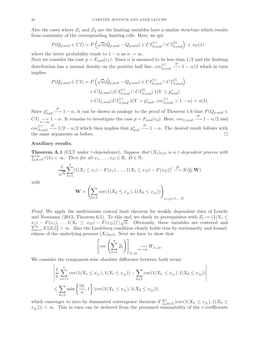Also the cases where  $Z_1$  and  $Z_2$  are the limiting variables have a similar structure which results from continuity of the corresponding limiting cdfs. Here, we get

$$
P(Q_{p,mid} \in CI) = P\left(\sqrt{n}(\widehat{Q}_{p,mid} - Q_{p,mid}) \in CI_{S,mid}^{(r)} \cap CI_{S,mid}^{(l)}\right) + op(1)
$$

where the latter probability tends to  $1 - \alpha$  as  $n \to \infty$ .

Next we consider the case  $p = F_{mid}(v_1)$ . Since  $\alpha$  is assumed to be less than 1/2 and the limiting distribution has a normal density on the positive half line,  $cov_{S,r}^{(r)}$  $S_{mid} \stackrel{(r)}{\longrightarrow} 1 - \alpha/2$  which in turn implies

$$
P(Q_{p,mid} \in CI) = P\left(\sqrt{n}(\widehat{Q}_{p,mid} - Q_{p,mid}) \in CI_{S,mid}^{(r)} \cap CI_{S,mid}^{(l)}\right)
$$

$$
+ CI_{L,mid} \setminus (CI_{S,mid}^{(r)} \cap CI_{S,mid}^{(l)}) 1(Y \leq p_{mid}^{*})
$$

$$
+ CI_{L,mid} \setminus CI_{S,mid}^{(r)} 1(Y > p_{mid}^{*}, cov_{S,mid}^{(r)} > 1 - \alpha) + o(1).
$$

Since  $p_{mid}^* \longrightarrow 1-\alpha$ , it can be shown in analogy to the proof of Theorem 1.6 that  $P(Q_{p,mid} \in$  $CI \longrightarrow 1 - \alpha$ . It remains to investigate the case  $p = F_{mid}(v_d)$ . Here,  $cov_{L,mid} \stackrel{P}{\longrightarrow} 1 - \alpha/2$  and  $cov^{(r)}_{S,r}$  $S_{mid} \stackrel{P}{\longrightarrow} 1/2 - \alpha/2$  which then implies that  $p_{mid}^* \stackrel{P}{\longrightarrow} 1 - \alpha$ . The desired result follows with the same arguments as before.

# Auxiliary results.

**Theorem A.1** (CLT under  $\tau$ -dependence). *Suppose that*  $(X_t)_{t \in \mathbb{Z}}$  *is a*  $\tau$ -dependent process with  $\sum_{h=0}^{\infty} \tau(h) < \infty$ . Then for all  $x_1, \ldots, x_D \in \mathbb{R}, D \in \mathbb{N}$ ,

$$
\frac{1}{\sqrt{n}}\sum_{t=1}^{n}(1(X_t \leq x_1) - F(x_1), \dots, 1(X_t \leq x_D) - F(x_D))' \xrightarrow{\mathcal{D}} \mathcal{N}(\underline{0}, \mathbf{W})
$$

*with*

$$
\mathbf{W} = \left(\sum_{h \in \mathbb{Z}} cov(1(X_h \le x_{j_1}), 1(X_0 \le x_{j_2}))\right)_{j_1, j_2 = 1, \dots D}
$$

*Proof.* We apply the multivariate central limit theorem for weakly dependent data of Leucht and Neumann (2013, Theorem 6.1). To this end, we check its prerequisites with  $Z_t := (1(X_t \leq$  $x_1 - F(x_1), \ldots, 1(X_t \leq x_D) - F(x_D)$ // $\sqrt{n}$ . Obviously, these variables are centered and  $\sum_{t=1}^{n} E||Z_t||_2^2 < \infty$ . Also the Lindeberg condition clearly holds true by stationarity and boundedness of the underlying process  $(X_t)_{t\in\mathbb{Z}}$ . Next we have to show that

$$
\left[ cov \left( \sum_{t=1}^n Z_t \right) \right]_{j_1, j_2} \xrightarrow[n \to \infty]{} W_{j_1, j_2}.
$$

We consider the component-wise absolute difference between both terms

$$
\left| \frac{1}{n} \sum_{s,t=1}^{n} cov(1(X_s \le x_{j_1}), 1(X_t \le x_{j_2})) - \sum_{h \in \mathbb{Z}} cov(1(X_h \le x_{j_1}), 1(X_0 \le x_{j_2})) \right|
$$
  

$$
\le \sum_{h \in \mathbb{Z}} \min \left\{ \frac{|h|}{n}, 1 \right\} |cov(1(X_h \le x_{j_1}), 1(X_0 \le x_{j_2}))|
$$

which converges to zero by dominated convergence theorem if  $\sum_{h \in \mathbb{Z}} |cov(1(X_h \le x_{j_1}), 1(X_0 \le x_{j_2}))|$  $|x_{j_2}|$ )|  $<\infty$ . This in turn can be deduced from the presumed summability of the  $\tau$ -coefficients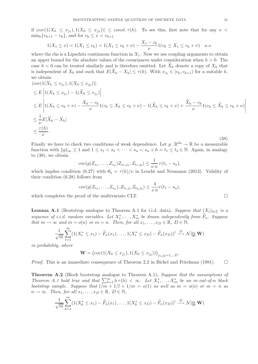if  $|cov(1(X_h \leq x_{j_1}), 1(X_0 \leq x_{j_2}))| \leq const.\tau(h)$ . To see this, first note that for any  $\nu <$  $\min_k \{v_{k+1} - v_k\}$ , and for  $v_k \leq x < v_{k+1}$ 

$$
1(X_1 \le x) = 1(X_1 \le v_k) = 1(X_1 \le v_k + \nu) - \frac{X_1 - v_k}{\nu} 1(v_k \le X_1 \le v_k + \nu) \quad a.s.
$$

where the rhs is a Lipschitz continuous function in  $X_1$ . Now we use coupling arguments to obtain an upper bound for the absolute values of the covariances under consideration when  $h > 0$ . The case  $h < 0$  can be treated similarly and is therefore omitted. Let  $X_h$  denote a copy of  $X_h$  that is independent of  $X_0$  and such that  $E|X_h - X_h| \leq \tau(h)$ . With  $x_{j_1} \in [v_k, v_{k+1})$  for a suitable k, we obtain

$$
\begin{aligned}\n|cov(1(X_h \le x_{j_1}), 1(X_0 \le x_{j_2}))| \\
&\le E\left|1(X_h \le x_{j_1}) - 1(\tilde{X}_h \le x_{j_1})\right| \\
&\le E\left|1(X_h \le v_k + \nu) - \frac{X_h - v_k}{\nu}1(v_k \le X_h \le v_k + \nu) - 1(\tilde{X}_h \le v_k + \nu) + \frac{\tilde{X}_h - v_k}{\nu}1(v_k \le \tilde{X}_h \le v_k + \nu)\right| \\
&\le \frac{1}{\nu}E|\tilde{X}_h - X_h| \\
&\le \frac{\tau(h)}{\nu}.\n\end{aligned}
$$
\n(38)

Finally we have to check two conditions of weak dependence. Let  $g: \mathbb{R}^{du} \to \mathbb{R}$  be a measurable function with  $||g||_{\infty} \leq 1$  and  $1 \leq s_1 < s_2 < \cdots < s_u < s_u + h = t_1 \leq t_2 \in \mathbb{N}$ . Again, in analogy to (38), we obtain

$$
cov(g(Z_{s_1},\ldots,Z_{s_u})Z_{s_u,j_1},Z_{t_1,j_2})\leq \frac{1}{\nu n}\tau(t_1-s_u),
$$

which implies condition (6.27) with  $\theta_h = \tau(h)/\nu$  in Leucht and Neumann (2013). Validity of their condition (6.28) follows from

$$
cov(g(Z_{s_1},\ldots,Z_{s_u}),Z_{t_1,j_1}\,Z_{t_2,j_2})\leq \frac{4}{\nu\,n}\tau(t_1-s_u),
$$

which completes the proof of the multivariate CLT.  $\Box$ 

**Lemma A.1** (Bootstrap analogue to Theorem A.1 for i.i.d. data). Suppose that  $(X_t)_{t\in\mathbb{Z}}$  is a  $sequence of i.i.d. random variables. Let X_1^*, \ldots, X_m^* be drawn independently from F_n. Suppose$ *that*  $m \to \infty$  *and*  $m = o(n)$  *or*  $m = n$ *. Then, for all*  $x_1, \ldots, x_D \in \mathbb{R}, D \in \mathbb{N}$ ,

$$
\frac{1}{\sqrt{m}}\sum_{t=1}^{m} (1(X_t^* \leq x_1) - \widehat{F}_n(x_1), \dots, 1(X_t^* \leq x_D) - \widehat{F}_n(x_D))' \xrightarrow{D} \mathcal{N}(\underline{0}, \mathbf{W})
$$

*in probability, where*

$$
\mathbf{W} = (cov(1(X_0 \le x_{j_1}), 1(X_0 \le x_{j_2})))_{j_1, j_2 = 1, \dots D}.
$$

*Proof.* This is an immediate consequence of Theorem 2.2 in Bickel and Friedman (1981).  $\square$ 

Theorem A.2 (Block bootstrap analogue to Theorem A.1). *Suppose that the assumptions of Theorem A.1 hold true and that*  $\sum_{h=1}^{\infty} h \tau(h) < \infty$ . Let  $X_1^*, \ldots, X_m^*$  be an m-out-of-n block *bootstrap sample. Suppose that*  $l/m + 1/l + 1/m = o(1)$  *as well as*  $m = o(n)$  *or*  $m = n$  *as*  $n \to \infty$ *. Then, for all*  $x_1, \ldots, x_D \in \mathbb{R}, D \in \mathbb{N}$ ,

$$
\frac{1}{\sqrt{m}}\sum_{k=1}^{m} (1(X_k^* \leq x_1) - \widehat{F}_n(x_1), \dots, 1(X_k^* \leq x_D) - \widehat{F}_n(x_D))' \xrightarrow{D} \mathcal{N}(\underline{0}, \mathbf{W})
$$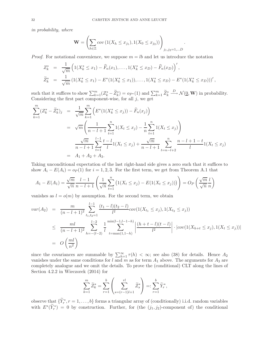*in probability, where*

$$
\mathbf{W} = \left( \sum_{h \in \mathbb{Z}} cov \left( 1(X_h \le x_{j_1}), 1(X_0 \le x_{j_2}) \right) \right)_{j_1, j_2 = 1, \dots, D}.
$$

*Proof.* For notational convenience, we suppose  $m = lb$  and let us introduce the notation

$$
Z_k^* = \frac{1}{\sqrt{m}} \left( 1(X_k^* \le x_1) - \widehat{F}_n(x_1), \dots, 1(X_k^* \le x_D) - \widehat{F}_n(x_D) \right)',
$$
  

$$
\widetilde{Z}_k^* = \frac{1}{\sqrt{m}} \left( 1(X_k^* \le x_1) - E^*(1(X_k^* \le x_1)), \dots, 1(X_k^* \le x_D) - E^*(1(X_k^* \le x_D)) \right)',
$$

such that it suffices to show  $\sum_{k=1}^{m} (Z_k^* - \widetilde{Z}_k^*) = o_{P^*}(1)$  and  $\sum_{k=1}^{m} \widetilde{Z}_k^* \stackrel{D}{\longrightarrow} \mathcal{N}(\underline{0}, \mathbf{W})$  in probability. Considering the first part component-wise, for all  $j$ , we get

$$
\sum_{k=1}^{m} (Z_k^* - \widetilde{Z}_k^*)_j = \frac{1}{\sqrt{m}} \sum_{k=1}^{m} \left( E^*(1(X_k^* \le x_j)) - \widehat{F}_n(x_j) \right)
$$
  

$$
= \sqrt{m} \left( \frac{1}{n - l + 1} \sum_{t=1}^{n} 1(X_t \le x_j) - \frac{1}{n} \sum_{t=1}^{n} 1(X_t \le x_j) \right)
$$
  

$$
\frac{\sqrt{m}}{n - l + 1} \sum_{t=1}^{l-1} \frac{t - l}{l} 1(X_t \le x_j) + \frac{\sqrt{m}}{n - l + 1} \sum_{t=n-l+2}^{n} \frac{n - l + 1 - t}{l} 1(X_t \le x_j)
$$
  

$$
= A_1 + A_2 + A_3.
$$

Taking unconditional expectation of the last right-hand side gives a zero such that it suffices to show  $A_i - E(A_i) = o_P(1)$  for  $i = 1, 2, 3$ . For the first term, we get from Theorem A.1 that

$$
A_1 - E(A_1) = \frac{\sqrt{m}}{\sqrt{n}} \frac{l-1}{n-l+1} \left( \frac{1}{\sqrt{n}} \sum_{t=1}^n \left( 1(X_t \le x_j) - E(1(X_t \le x_j)) \right) \right) = O_P\left(\frac{\sqrt{m}}{\sqrt{n}} \frac{l}{n}\right)
$$

vanishes as  $l = o(m)$  by assumption. For the second term, we obtain

$$
var(A_2) = \frac{m}{(n-l+1)^2} \sum_{t_1, t_2=1}^{l-1} \frac{(t_1-l)(t_2-l)}{l^2} cov(1(X_{t_1} \le x_j), 1(X_{t_2} \le x_j))
$$
  

$$
\le \frac{ml}{(n-l+1)^2} \sum_{h=- (l-2)}^{l-2} \frac{1}{l} \sum_{t=\max(1,1-h)}^{\min(l-1,l-1-h)} \left| \frac{(h+t-l)(t-l)}{l^2} \right| \cdot |cov(1(X_{h+t} \le x_j), 1(X_t \le x_j))|
$$
  

$$
= O\left(\frac{ml}{n^2}\right)
$$

since the covariances are summable by  $\sum_{h=1}^{\infty} \tau(h) < \infty$ ; see also (38) for details. Hence  $A_2$ vanishes under the same conditions for l and m as for term  $A_1$  above. The arguments for  $A_3$  are completely analogue and we omit the details. To prove the (conditional) CLT along the lines of Section 4.2.2 in Wieczorek (2014) for

$$
\sum_{k=1}^m \widetilde{Z}_k^* = \sum_{r=1}^b \left( \sum_{s=(r-1)l+1}^{rl} \widetilde{Z}_s^* \right) =: \sum_{r=1}^b \widetilde{Y}_r^*,
$$

observe that  $\{Y_r^*, r = 1, \ldots, b\}$  forms a triangular array of (conditionally) i.i.d. random variables with  $E^*(Y_r^*) = 0$  by construction. Further, for (the  $(j_1, j_2)$ -component of) the conditional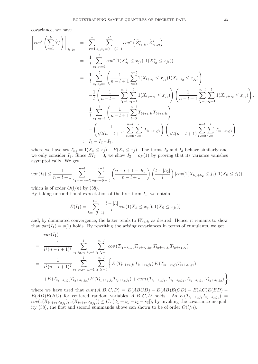covariance, we have

$$
\begin{aligned}\n\left[\cos^{*}\left(\sum_{r=1}^{b}\widetilde{Y}_{r}^{*}\right)\right]_{j_{1},j_{2}} &= \sum_{r=1}^{b}\sum_{s_{1},s_{2}=(r-1)l+1}^{l}cov^{*}\left(\widetilde{Z}_{s_{1},j_{1}}^{*},\widetilde{Z}_{s_{2},j_{2}}^{*}\right) \\
&= \frac{1}{l}\sum_{s_{1},s_{2}=1}^{l}cov^{*}\left(1(X_{s_{1}}^{*} \leq x_{j_{1}}),1(X_{s_{2}}^{*} \leq x_{j_{2}})\right) \\
&= \frac{1}{l}\sum_{s_{1},s_{2}=1}^{l}\left(\frac{1}{n-l+1}\sum_{t=0}^{n-l}1(X_{t+s_{1}} \leq x_{j_{1}})1(X_{t+s_{2}} \leq x_{j_{2}})\right) \\
&- \frac{1}{l}\left(\frac{1}{n-l+1}\sum_{t_{1}=0}^{n-l}\sum_{s_{1}=1}^{l}1(X_{t_{1}+s_{1}} \leq x_{j_{1}})\right)\left(\frac{1}{n-l+1}\sum_{t_{2}=0}^{n-l}\sum_{s_{2}=1}^{l}1(X_{t_{2}+s_{2}} \leq x_{j_{2}})\right) \\
&= \frac{1}{l}\sum_{s_{1},s_{2}=1}^{l}\left(\frac{1}{n-l+1}\sum_{t=0}^{n-l}T_{t+s_{1},j_{1}}T_{t+s_{2},j_{2}}\right) \\
&- \left(\frac{1}{\sqrt{l(n-l+1)}}\sum_{t_{1}=0}^{n-l}\sum_{s_{1}=1}^{l}T_{t_{1}+s_{1},j_{1}}\right)\left(\frac{1}{\sqrt{l(n-l+1)}}\sum_{t_{2}=0}^{n-l}\sum_{s_{2}=1}^{l}T_{t_{2}+s_{2},j_{2}}\right) \\
&=:\ I_{1}-I_{2}*I_{3},\n\end{aligned}
$$

where we have set  $T_{t,j} = 1(X_t \leq x_j) - P(X_t \leq x_j)$ . The terms  $I_2$  and  $I_3$  behave similarly and we only consider  $I_2$ . Since  $EI_2 = 0$ , we show  $I_2 = o_P(1)$  by proving that its variance vanishes asymptotically. We get

$$
var(I_2) \le \frac{1}{n-l+1} \sum_{h_1 = -(n-l)}^{n-l} \sum_{h_2 = -(l-1)}^{l-1} \left( \frac{n-l+1-|h_1|}{n-l+1} \right) \left( \frac{l-|h_2|}{l} \right) |cov(1(X_{h_1+h_2} \le j_1), 1(X_0 \le j_1))|
$$

which is of order  $O(l/n)$  by (38).

By taking unconditional expectation of the first term  $I_1$ , we obtain

$$
E(I_1) = \sum_{h=- (l-1)}^{l-1} \frac{l-|h|}{l} cov(1(X_h \le x_{j_1}), 1(X_0 \le x_{j_2}))
$$

and, by dominated convergence, the latter tends to  $W_{j_1,j_2}$  as desired. Hence, it remains to show that  $var(I_1) = o(1)$  holds. By rewriting the arising covariances in terms of cumulants, we get

$$
var(I_1)
$$
\n
$$
= \frac{1}{l^2(n-l+1)^2} \sum_{s_1,s_2,s_3,s_4=1}^{l} \sum_{t_1,t_2=0}^{n-l} cov(T_{t_1+s_1,j_1}T_{t_1+s_2,j_2}, T_{t_2+s_3,j_1}T_{t_2+s_4,j_2})
$$
\n
$$
= \frac{1}{l^2(n-l+1)^2} \sum_{s_1,s_2,s_3,s_4=1}^{l} \sum_{t_1,t_2=0}^{n-l} \left\{ E(T_{t_1+s_1,j_1}T_{t_2+s_3,j_1}) E(T_{t_1+s_2,j_2}T_{t_2+s_4,j_2}) + E(T_{t_1+s_1,j_1}T_{t_2+s_4,j_2}) E(T_{t_1+s_2,j_2}T_{t_2+s_3,j_1}) + cum(T_{t_1+s_1,j_1}, T_{t_1+s_2,j_2}, T_{t_2+s_3,j_1}, T_{t_2+s_4,j_2}) \right\},
$$

where we have used that  $cum(A, B, C, D) = E(ABCD) - E(AB)E(CD) - E(AC)E(BD) E(AD)E(BC)$  for centered random variables  $A, B, C, D$  holds. As  $E(T_{t_1+s_1,j_1}T_{t_2+s_3,j_1}) =$  $cov(1(X_{t_1+s_1\leq x_{j_1}}), 1(X_{t_2+s_3\leq x_{j_1}})) \leq C\tau(|t_1+s_1-t_2-s_3|)$ , by invoking the covariance inequality (38), the first and second summands above can shown to be of order  $O(l/n)$ .

.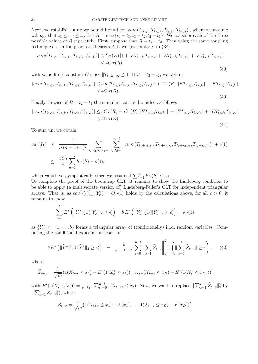Next, we establish an upper bound bound for  $|cum(T_{t_1,j_1}, T_{t_2,j_2}, T_{t_3,j_3}, T_{t_4,j_4})|$ , where we assume w.l.o.g. that  $t_1 \leq \cdots \leq t_4$ . Let  $R = \max\{t_4 - t_3, t_3 - t_2, t_2 - t_1\}$ . We consider each of the three possible values of R separately. First, suppose that  $R = t_4 - t_3$ . Then using the same coupling techniques as in the proof of Theorem A.1, we get similarly to (38)

$$
|cum(T_{t_1,j_1}, T_{t_2,j_2}, T_{t_3,j_3}, T_{t_4,j_4})| \le C\tau(R) \left[1 + |ET_{t_1,j_1} T_{t_2,j_2}| + |ET_{t_1,j_1} T_{t_3,j_3}| + |ET_{t_2,j_2} T_{t_3,j_3}|\right] \le 4C\tau(R)
$$

with some finite constant C since  $||T_{t_l,j_l}||_{\infty} \leq 1$ . If  $R = t_3 - t_2$ , we obtain

$$
|cum(T_{t_1,j_1}, T_{t_2,j_2}, T_{t_3,j_3}, T_{t_4,j_4})| \leq cov(T_{t_1,j_1} T_{t_2,j_2}, T_{t_3,j_3} T_{t_4,j_4}) + C \tau(R) \left[ |ET_{t_2,j_2} T_{t_4,j_4}| + |ET_{t_1,j_1} T_{t_4,j_4}| \right] \leq 4C \tau(R).
$$
\n(40)

(39)

(41)

Finally, in case of  $R = t_2 - t_1$  the cumulant can be bounded as follows

$$
|cum(T_{t_1,j_1}, T_{t_2,j_2}, T_{t_3,j_3}, T_{t_4,j_4})| \leq 3C\tau(R) + C\tau(R) [|ET_{t_3,j_3}T_{t_4,j_4}|] + |ET_{t_2,j_2}T_{t_4,j_4}| + |ET_{t_2,j_2}T_{t_3,j_3}|] \leq 5C\tau(R).
$$

To sum up, we obtain

$$
var(I_1) \leq \frac{1}{l^2(n-l+1)^2} \sum_{s_1, s_2, s_3, s_4=1}^{l} \sum_{t_1, t_2=0}^{n-l} |cum(T_{t_1+s_1,j_1}, T_{t_1+s_2,j_2}, T_{t_2+s_3,j_1}, T_{t_2+s_4,j_2})| + o(1)
$$
  

$$
\leq \frac{5C l}{n} \sum_{h=1}^{n-l} h \tau(h) + o(1),
$$

which vanishes asymptotically since we assumed  $\sum_{h=1}^{\infty} h \tau(h) < \infty$ .

To complete the proof of the bootstrap CLT, it remains to show the Lindeberg condition to be able to apply (a multivariate version of) Lindeberg-Feller's CLT for independent triangular arrays. That is, as  $cov^*(\sum_{r=1}^b \widetilde{Y}_r^*) = O_P(1)$  holds by the calculations above, for all  $\epsilon > 0$ , it remains to show

$$
\sum_{r=1}^b E^* \left( \|\widetilde{Y}_r^*\|_2^2 1(\|\widetilde{Y}_r^*\|_2 \geq \epsilon) \right) = b E^* \left( \|\widetilde{Y}_1^*\|_2^2 1(\|\widetilde{Y}_1^*\|_2 \geq \epsilon) \right) = o_P(1)
$$

as  $\{Y_r^*, r = 1, \ldots, b\}$  forms a triangular array of (conditionally) i.i.d. random variables. Computing the conditional expectation leads to

$$
b E^* \left( \|\widetilde{Y}_1^*\|_2^2 1(\|\widetilde{Y}_1^*\|_2 \ge \epsilon) \right) = \frac{b}{n-l+1} \sum_{t=0}^{n-l} \left\| \sum_{s=1}^l \widetilde{Z}_{s+t} \right\|_2^2 1 \left( \|\sum_{s=1}^l \widetilde{Z}_{s+t}\| \ge \epsilon \right), \tag{42}
$$

where

$$
\widetilde{Z}_{t+s} = \frac{1}{\sqrt{m}} \big( 1(X_{t+s} \le x_1) - E^*(1(X_s^* \le x_1)), \dots, 1(X_{t+s} \le x_D) - E^*(1(X_s^* \le x_D)) \big)'
$$

with  $E^*(1(X_{s}^* \leq x_1)) = \frac{1}{n-l+1} \sum_{t=10}^{n-l} 1(X_{t_1+s} \leq x_i)$ . Now, we want to replace  $\|\sum_{s=1}^{l} \widetilde{Z}_{s+t}\|_2^2$  by  $\| \sum_{s=1}^{l} Z_{s+t} \|_{2}^{2}$ , where

$$
Z_{t+s} = \frac{1}{\sqrt{m}} \big( 1(X_{t+s} \le x_1) - F(x_1), \dots, 1(X_{t+s} \le x_D) - F(x_D) \big)',
$$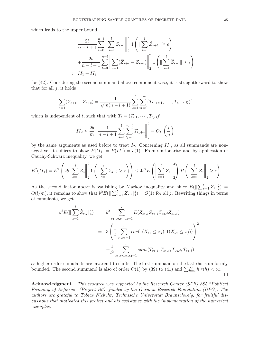which leads to the upper bound

$$
\frac{2b}{n-l+1} \sum_{t=0}^{n-l} \left\| \sum_{s=1}^{l} Z_{s+t} \right\|_{2}^{2} 1 \left( \| \sum_{s=1}^{l} \widetilde{Z}_{s+t} \| \geq \epsilon \right)
$$
  
+ 
$$
\frac{2b}{n-l+1} \sum_{t=0}^{n-l} \left\| \sum_{s=1}^{l} (\widetilde{Z}_{s+t} - Z_{s+t}) \right\|_{2}^{2} 1 \left( \| \sum_{s=1}^{l} \widetilde{Z}_{s+t} \| \geq \epsilon \right)
$$
  
=: 
$$
II_{1} + II_{2}
$$

for (42). Considering the second summand above component-wise, it is straightforward to show that for all  $i$ , it holds

$$
\sum_{s=1}^{l} (Z_{s+t} - \widetilde{Z}_{s+t}) = \frac{1}{\sqrt{m}(n-l+1)} \sum_{s=1}^{l} \sum_{t_1=0}^{n-l} (T_{t_1+s,1}, \cdots, T_{t_1+s,D})'
$$

which is independent of t, such that with  $T_t = (T_{t,1}, \dots, T_{t,D})'$ 

$$
II_2 \le \frac{2b}{m} \left\| \frac{1}{n-l+1} \sum_{s=1}^l \sum_{t_1=0}^{n-l} T_{t_1+s} \right\|_2^2 = O_P\left(\frac{l}{n}\right)
$$

by the same arguments as used before to treat  $I_2$ . Concerning  $II_1$ , as all summands are nonnegative, it suffices to show  $E|II_1| = E(II_1) = o(1)$ . From stationarity and by application of Cauchy-Schwarz inequality, we get

$$
E^2(II_1) = E^2\left(2b\left\|\sum_{s=1}^l Z_s\right\|_2^2 1\left(\|\sum_{s=1}^l \widetilde{Z}_s\|_2 \ge \epsilon\right)\right) \le 4b^2 E\left(\left\|\sum_{s=1}^l Z_s\right\|_2^4\right) P\left(\left\|\sum_{s=1}^l \widetilde{Z}_s\right\|_2 \ge \epsilon\right).
$$

As the second factor above is vanishing by Markov inequality and since  $E(||\sum_{s=1}^{l} \widetilde{Z}_{s}||_2^2) =$  $O(l/m)$ , it remains to show that  $b^2 E(||\sum_{s=1}^l Z_{s,j}||_4^4) = O(1)$  for all j. Rewriting things in terms of cumulants, we get

$$
b^{2}E(||\sum_{s=1}^{l} \widetilde{Z}_{s,j}||_{4}^{4}) = b^{2} \sum_{s_{1}, s_{2}, s_{3}, s_{4}=1}^{l} E(Z_{s_{1},j} Z_{s_{2},j} Z_{s_{3},j} Z_{s_{4},j})
$$
  

$$
= 3 \left( \frac{1}{l} \sum_{s_{1}, s_{2}=1}^{l} cov(1(X_{s_{1}} \leq x_{j}), 1(X_{s_{2}} \leq x_{j})) \right)^{2}
$$

$$
+ \frac{1}{l^{2}} \sum_{s_{1}, s_{2}, s_{3}, s_{4}=1}^{l} cum(T_{s_{1},j}, T_{s_{2},j}, T_{s_{3},j}, T_{s_{4},j})
$$

as higher-order cumulants are invariant to shifts. The first summand on the last rhs is uniformly bounded. The second summand is also of order  $O(1)$  by (39) to (41) and  $\sum_{h=1}^{\infty} h \tau(h) < \infty$ .

 $\Box$ 

Acknowledgment . *This research was supported by the Research Center (SFB) 884 "Political Economy of Reforms" (Project B6), funded by the German Research Foundation (DFG). The* authors are grateful to Tobias Niebuhr, Technische Universität Braunschweig, for fruitful dis*cussions that motivated this project and his assistance with the implementation of the numerical examples.*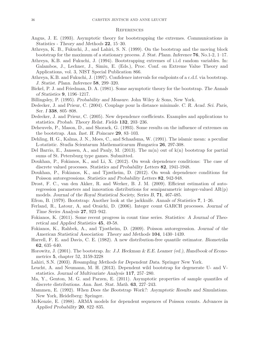#### **REFERENCES**

- Angus, J. E. (1993). Asymptotic theory for bootstrapping the extremes. *Communications in Statistics - Theory and Methods* 22, 15–30.
- Athreya, K. B., Fukuchi, J., and Lahiri, S. N. (1999). On the bootstrap and the moving block bootstrap for the maximum of a stationary process. *J. Stat. Plann. Inference* 76, No.1-2, 1–17.
- Athreya, K.B. and Fukuchi, J. (1994). Bootstrapping extremes of i.i.d random variables. In: Galambos, J., Lechner, J., Simiu, E. (Eds.), Proc. Conf. on Extreme Value Theory and Applications, vol. 3, NIST Special Publication 866.
- Athreya, K.B. and Fukuchi, J. (1997). Confidence intervals for endpoints of a c.d.f. via bootstrap. *J. Statist. Plann. Inference* 58, 299–320.
- Bickel, P. J. and Friedman, D. A. (1981). Some asymptotic theory for the bootstrap. *The Annals of Statistics* 9, 1196–1217.
- Billingsley, P. (1995). *Probability and Measure*. John Wiley & Sons, New York.
- Dedecker, J. and Prieur, C. (2004). Couplage pour la distance minimale. *C. R. Acad. Sci. Paris, Ser. I* 338, 805–808.
- Dedecker, J. and Prieur, C. (2005). New dependence coefficients. Examples and applications to statistics. *Probab. Theory Relat. Fields* 132, 203–236.
- Deheuvels, P., Mason, D., and Shorack, G. (1993). Some results on the influence of extremes on the bootstrap. *Ann. Inst. H. Poincare* 29, 83–103.
- Dehling, H. G., Kalma, J. N., Moes, C., and Schaafsma, W. (1991). The islamic mean: a peculiar L-statistic. *Studia Scientarum Mathematicarum Hungarica* 26, 297-308.
- Del Barrio, E., Janssen, A., and Pauly, M. (2013). The  $m(n)$  out of  $k(n)$  bootstrap for partial sums of St. Petersburg type games. Submitted.
- Doukhan, P., Fokianos, K., and Li, X. (2012). On weak dependence conditions: The case of discrete valued processes. *Statistics and Probability Letters* 82, 1941-1948.
- Doukhan, P., Fokianos, K., and Tjøstheim, D. (2012). On weak dependence conditions for Poisson autoregressions. *Statistics and Probability Letters* 82, 942-948.
- Drost, F. C., van den Akker, R. and Werker, B. J. M. (2009). Efficient estimation of autoregression parameters and innovation distributions for semiparametric integer-valued  $AR(p)$ models. *Journal of the Royal Statistical Society, Series B*, 71, 467-485.
- Efron, B. (1979). Bootstrap: Another look at the jackknife. *Annals of Statistics* 7, 1–26.
- Ferland, R., Latour, A, and Oraichi, D. (2006). Integer count GARCH processes. *Journal of Time Series Analysis* 27, 923–942.
- Fokianos, K. (2011). Some recent progress in count time series. *Statistics: A Journal of Theoretical and Applied Statistics* 45, 49-58.
- Fokianos, K., Rahbek, A., and Tjostheim, D. (2009). Poisson autoregression. *Journal of the American Statistical Association Theory and Methods* 104, 1430–1439.
- Harrell, F. E. and Davis, C. E. (1982). A new distribution-free quantile estimator. *Biometrika* 62, 635–640.
- Horowitz, J. (2001). The bootstrap. *In: J.J. Heckman & E.E. Leamer (ed.), Handbook of Econometrics* 5, chapter 52, 3159-3228
- Lahiri, S.N. (2003). *Resampling Methods for Dependent Data*. Springer New York.
- Leucht, A. and Neumann, M. H. (2013). Dependent wild bootstrap for degenerate U- and Vstatistics. *Journal of Multivariate Analysis* 117, 257–280.
- Ma, Y., Genton, M. G. and Parzen, E. (2011). Asymptotic properties of sample quantiles of discrete distributions. *Ann. Inst. Stat. Math.* 63, 227–243.
- Mammen, E. (1992). *When Does the Bootstrap Work?: Asymptotic Results and Simulations.* New York, Heidelberg: Springer.
- McKenzie, E. (1988). ARMA models for dependent sequences of Poisson counts. *Advances in Applied Probability* 20, 822–835.